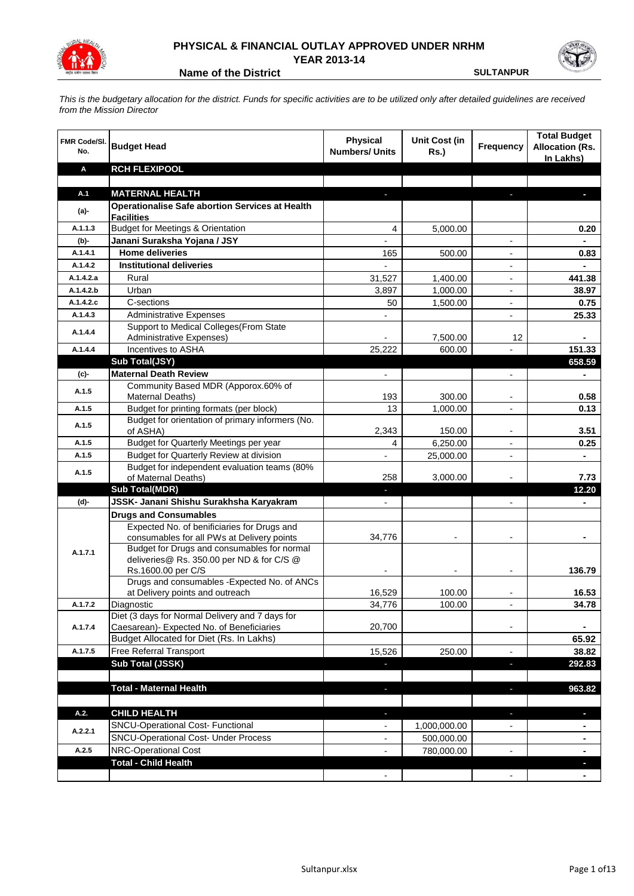

## **PHYSICAL & FINANCIAL OUTLAY APPROVED UNDER NRHM YEAR 2013-14**

**Name of the District <b>SULTANPUR** SULTANPUR

*This is the budgetary allocation for the district. Funds for specific activities are to be utilized only after detailed guidelines are received from the Mission Director*

| FMR Code/SI.<br>No. | <b>Budget Head</b>                                                                        | <b>Physical</b><br><b>Numbers/ Units</b> | <b>Unit Cost (in</b><br><b>Rs.)</b> | <b>Frequency</b>         | <b>Total Budget</b><br><b>Allocation (Rs.</b><br>In Lakhs) |
|---------------------|-------------------------------------------------------------------------------------------|------------------------------------------|-------------------------------------|--------------------------|------------------------------------------------------------|
| A                   | <b>RCH FLEXIPOOL</b>                                                                      |                                          |                                     |                          |                                                            |
|                     |                                                                                           |                                          |                                     |                          |                                                            |
| A.1                 | <b>MATERNAL HEALTH</b>                                                                    |                                          |                                     |                          |                                                            |
| $(a)$ -             | <b>Operationalise Safe abortion Services at Health</b><br><b>Facilities</b>               |                                          |                                     |                          |                                                            |
| A.1.1.3             | <b>Budget for Meetings &amp; Orientation</b>                                              | 4                                        | 5,000.00                            |                          | 0.20                                                       |
| (b)-                | Janani Suraksha Yojana / JSY                                                              |                                          |                                     | $\blacksquare$           |                                                            |
| A.1.4.1             | <b>Home deliveries</b>                                                                    | 165                                      | 500.00                              | $\overline{a}$           | 0.83                                                       |
| A.1.4.2             | <b>Institutional deliveries</b>                                                           |                                          |                                     | $\overline{\phantom{a}}$ |                                                            |
| A.1.4.2.a           | Rural                                                                                     | 31,527                                   | 1,400.00                            | $\overline{\phantom{a}}$ | 441.38                                                     |
| A.1.4.2.b           | Urban                                                                                     | 3,897                                    | 1,000.00                            |                          | 38.97                                                      |
| A.1.4.2.c           | C-sections                                                                                | 50                                       | 1,500.00                            |                          | 0.75                                                       |
| A.1.4.3             | <b>Administrative Expenses</b>                                                            |                                          |                                     | $\overline{a}$           | 25.33                                                      |
| A.1.4.4             | Support to Medical Colleges (From State<br>Administrative Expenses)                       |                                          | 7,500.00                            | 12                       |                                                            |
| A.1.4.4             | Incentives to ASHA                                                                        | 25,222                                   | 600.00                              |                          | 151.33                                                     |
|                     | Sub Total(JSY)                                                                            |                                          |                                     |                          | 658.59                                                     |
| (c)                 | <b>Maternal Death Review</b>                                                              |                                          |                                     | $\overline{a}$           |                                                            |
| A.1.5               | Community Based MDR (Apporox.60% of<br>Maternal Deaths)                                   | 193                                      | 300.00                              | $\blacksquare$           | 0.58                                                       |
| A.1.5               | Budget for printing formats (per block)                                                   | 13                                       | 1,000.00                            | $\overline{\phantom{a}}$ | 0.13                                                       |
| A.1.5               | Budget for orientation of primary informers (No.<br>of ASHA)                              | 2,343                                    | 150.00                              |                          | 3.51                                                       |
| A.1.5               | Budget for Quarterly Meetings per year                                                    | 4                                        | 6,250.00                            | $\overline{a}$           | 0.25                                                       |
| A.1.5               | Budget for Quarterly Review at division                                                   | L.                                       | 25,000.00                           |                          | $\blacksquare$                                             |
| A.1.5               | Budget for independent evaluation teams (80%<br>of Maternal Deaths)                       | 258                                      | 3,000.00                            |                          | 7.73                                                       |
|                     | <b>Sub Total(MDR)</b>                                                                     |                                          |                                     |                          | 12.20                                                      |
| (d)-                | JSSK- Janani Shishu Surakhsha Karyakram                                                   |                                          |                                     |                          |                                                            |
|                     | <b>Drugs and Consumables</b>                                                              |                                          |                                     |                          |                                                            |
|                     | Expected No. of benificiaries for Drugs and<br>consumables for all PWs at Delivery points | 34,776                                   |                                     |                          |                                                            |
| A.1.7.1             | Budget for Drugs and consumables for normal                                               |                                          |                                     |                          |                                                            |
|                     | deliveries@ Rs. 350.00 per ND & for C/S @                                                 |                                          |                                     |                          |                                                            |
|                     | Rs.1600.00 per C/S                                                                        |                                          |                                     |                          | 136.79                                                     |
|                     | Drugs and consumables - Expected No. of ANCs                                              |                                          |                                     |                          |                                                            |
|                     | at Delivery points and outreach                                                           | 16,529                                   | 100.00                              |                          | 16.53                                                      |
| A.1.7.2             | Diagnostic<br>Diet (3 days for Normal Delivery and 7 days for                             | 34,776                                   | 100.00                              |                          | 34.78                                                      |
| A.1.7.4             | Caesarean)- Expected No. of Beneficiaries                                                 | 20,700                                   |                                     | $\overline{\phantom{a}}$ |                                                            |
|                     | Budget Allocated for Diet (Rs. In Lakhs)                                                  |                                          |                                     |                          | 65.92                                                      |
| A.1.7.5             | <b>Free Referral Transport</b>                                                            | 15,526                                   | 250.00                              | $\overline{\phantom{a}}$ | 38.82                                                      |
|                     | Sub Total (JSSK)                                                                          | ٠                                        |                                     | ×,                       | 292.83                                                     |
|                     |                                                                                           |                                          |                                     |                          |                                                            |
|                     | <b>Total - Maternal Health</b>                                                            | $\overline{\phantom{a}}$                 |                                     | J,                       | 963.82                                                     |
| A.2.                | <b>CHILD HEALTH</b>                                                                       |                                          |                                     | ь                        |                                                            |
|                     | SNCU-Operational Cost- Functional                                                         | ٠                                        |                                     |                          | J,                                                         |
| A.2.2.1             | <b>SNCU-Operational Cost- Under Process</b>                                               |                                          | 1,000,000.00<br>500,000.00          |                          |                                                            |
| A.2.5               | <b>NRC-Operational Cost</b>                                                               |                                          | 780,000.00                          |                          |                                                            |
|                     | <b>Total - Child Health</b>                                                               |                                          |                                     |                          |                                                            |
|                     |                                                                                           |                                          |                                     |                          |                                                            |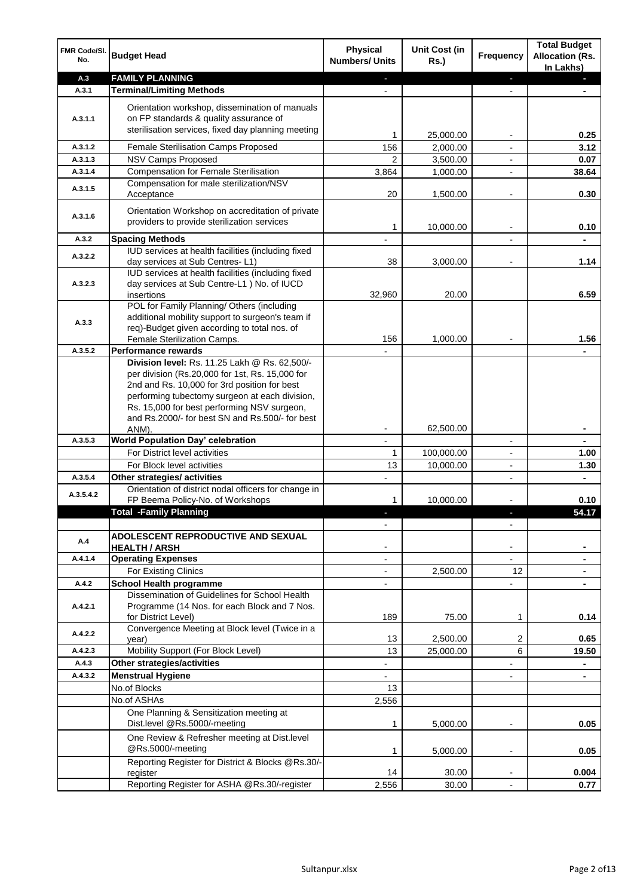| FMR Code/SI.<br>No. | <b>Budget Head</b>                                                                                                                                                                                                                                                                                            | <b>Physical</b><br><b>Numbers/ Units</b>             | <b>Unit Cost (in</b><br><b>Rs.)</b> | Frequency                | <b>Total Budget</b><br><b>Allocation (Rs.</b><br>In Lakhs) |
|---------------------|---------------------------------------------------------------------------------------------------------------------------------------------------------------------------------------------------------------------------------------------------------------------------------------------------------------|------------------------------------------------------|-------------------------------------|--------------------------|------------------------------------------------------------|
| A.3                 | <b>FAMILY PLANNING</b>                                                                                                                                                                                                                                                                                        | ÷.                                                   |                                     | ÷.                       | a.                                                         |
| A.3.1               | <b>Terminal/Limiting Methods</b>                                                                                                                                                                                                                                                                              |                                                      |                                     |                          |                                                            |
| A.3.1.1             | Orientation workshop, dissemination of manuals<br>on FP standards & quality assurance of<br>sterilisation services, fixed day planning meeting                                                                                                                                                                | 1                                                    | 25,000.00                           |                          | 0.25                                                       |
| A.3.1.2             | <b>Female Sterilisation Camps Proposed</b>                                                                                                                                                                                                                                                                    | 156                                                  | 2,000.00                            |                          | 3.12                                                       |
| A.3.1.3             | NSV Camps Proposed                                                                                                                                                                                                                                                                                            | $\overline{2}$                                       | 3,500.00                            |                          | 0.07                                                       |
| A.3.1.4             | <b>Compensation for Female Sterilisation</b>                                                                                                                                                                                                                                                                  | 3,864                                                | 1,000.00                            | $\overline{a}$           | 38.64                                                      |
| A.3.1.5             | Compensation for male sterilization/NSV<br>Acceptance                                                                                                                                                                                                                                                         | 20                                                   | 1,500.00                            | -                        | 0.30                                                       |
| A.3.1.6             | Orientation Workshop on accreditation of private<br>providers to provide sterilization services                                                                                                                                                                                                               | 1                                                    | 10,000.00                           |                          | 0.10                                                       |
| A.3.2               | <b>Spacing Methods</b>                                                                                                                                                                                                                                                                                        |                                                      |                                     |                          | $\blacksquare$                                             |
| A.3.2.2             | IUD services at health facilities (including fixed<br>day services at Sub Centres-L1)                                                                                                                                                                                                                         | 38                                                   | 3,000.00                            |                          | 1.14                                                       |
| A.3.2.3             | IUD services at health facilities (including fixed<br>day services at Sub Centre-L1 ) No. of IUCD<br>insertions                                                                                                                                                                                               | 32,960                                               | 20.00                               |                          | 6.59                                                       |
| A.3.3               | POL for Family Planning/ Others (including<br>additional mobility support to surgeon's team if<br>req)-Budget given according to total nos. of<br>Female Sterilization Camps.                                                                                                                                 | 156                                                  | 1,000.00                            |                          | 1.56                                                       |
| A.3.5.2             | <b>Performance rewards</b>                                                                                                                                                                                                                                                                                    |                                                      |                                     |                          |                                                            |
|                     | Division level: Rs. 11.25 Lakh @ Rs. 62,500/-<br>per division (Rs.20,000 for 1st, Rs. 15,000 for<br>2nd and Rs. 10,000 for 3rd position for best<br>performing tubectomy surgeon at each division,<br>Rs. 15,000 for best performing NSV surgeon,<br>and Rs.2000/- for best SN and Rs.500/- for best<br>ANM). |                                                      | 62,500.00                           |                          |                                                            |
| A.3.5.3             | World Population Day' celebration                                                                                                                                                                                                                                                                             |                                                      |                                     | $\overline{\phantom{0}}$ |                                                            |
|                     | For District level activities                                                                                                                                                                                                                                                                                 | 1                                                    | 100,000.00                          | $\overline{a}$           | 1.00                                                       |
|                     | For Block level activities                                                                                                                                                                                                                                                                                    | 13                                                   | 10,000.00                           | $\overline{\phantom{a}}$ | 1.30                                                       |
| A.3.5.4             | Other strategies/ activities                                                                                                                                                                                                                                                                                  |                                                      |                                     | $\overline{\phantom{a}}$ |                                                            |
| A.3.5.4.2           | Orientation of district nodal officers for change in<br>FP Beema Policy-No. of Workshops                                                                                                                                                                                                                      | $\mathbf{1}$                                         | 10,000.00                           |                          | 0.10                                                       |
|                     | <b>Total -Family Planning</b>                                                                                                                                                                                                                                                                                 |                                                      |                                     |                          | 54.17                                                      |
|                     |                                                                                                                                                                                                                                                                                                               | $\frac{1}{2}$                                        |                                     | $\overline{\phantom{0}}$ |                                                            |
| A.4                 | ADOLESCENT REPRODUCTIVE AND SEXUAL<br><b>HEALTH / ARSH</b>                                                                                                                                                                                                                                                    | $\overline{\phantom{a}}$                             |                                     |                          | ۰                                                          |
| A.4.1.4             | <b>Operating Expenses</b>                                                                                                                                                                                                                                                                                     | $\blacksquare$                                       |                                     | $\overline{\phantom{0}}$ | ۰                                                          |
| A.4.2               | For Existing Clinics<br><b>School Health programme</b>                                                                                                                                                                                                                                                        | $\overline{\phantom{a}}$<br>$\overline{\phantom{a}}$ | 2,500.00                            | 12                       | ۰<br>۰                                                     |
| A.4.2.1             | Dissemination of Guidelines for School Health<br>Programme (14 Nos. for each Block and 7 Nos.<br>for District Level)                                                                                                                                                                                          | 189                                                  | 75.00                               | $\mathbf{1}$             | 0.14                                                       |
| A.4.2.2             | Convergence Meeting at Block level (Twice in a<br>year)                                                                                                                                                                                                                                                       | 13                                                   | 2,500.00                            | 2                        | 0.65                                                       |
| A.4.2.3             | Mobility Support (For Block Level)                                                                                                                                                                                                                                                                            | 13                                                   | 25,000.00                           | 6                        | 19.50                                                      |
| A.4.3               | Other strategies/activities                                                                                                                                                                                                                                                                                   |                                                      |                                     | -                        |                                                            |
| A.4.3.2             | <b>Menstrual Hygiene</b>                                                                                                                                                                                                                                                                                      |                                                      |                                     | $\overline{a}$           |                                                            |
|                     | No.of Blocks                                                                                                                                                                                                                                                                                                  | 13                                                   |                                     |                          |                                                            |
|                     | No.of ASHAs                                                                                                                                                                                                                                                                                                   | 2,556                                                |                                     |                          |                                                            |
|                     | One Planning & Sensitization meeting at<br>Dist.level @Rs.5000/-meeting                                                                                                                                                                                                                                       | 1                                                    | 5,000.00                            | -                        | 0.05                                                       |
|                     | One Review & Refresher meeting at Dist.level<br>@Rs.5000/-meeting                                                                                                                                                                                                                                             | $\mathbf{1}$                                         | 5,000.00                            | $\overline{a}$           | 0.05                                                       |
|                     | Reporting Register for District & Blocks @Rs.30/-                                                                                                                                                                                                                                                             |                                                      |                                     |                          |                                                            |
|                     | register<br>Reporting Register for ASHA @Rs.30/-register                                                                                                                                                                                                                                                      | 14<br>2,556                                          | 30.00<br>30.00                      | $\overline{a}$           | 0.004<br>0.77                                              |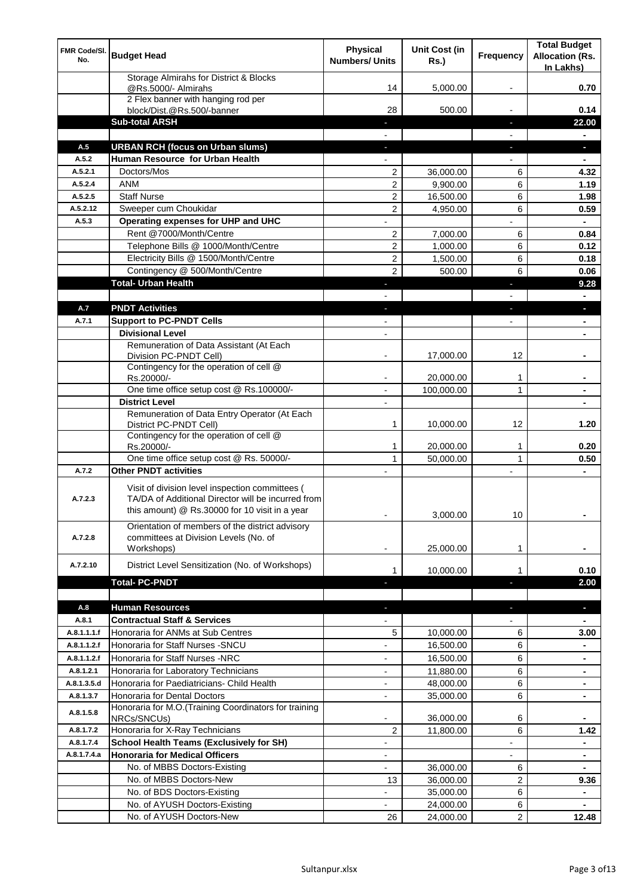| FMR Code/SI.<br>No. | <b>Budget Head</b>                                                                                                                                      | <b>Physical</b><br><b>Numbers/ Units</b> | Unit Cost (in<br><b>Rs.)</b> | <b>Frequency</b>         | <b>Total Budget</b><br><b>Allocation (Rs.</b><br>In Lakhs) |
|---------------------|---------------------------------------------------------------------------------------------------------------------------------------------------------|------------------------------------------|------------------------------|--------------------------|------------------------------------------------------------|
|                     | Storage Almirahs for District & Blocks<br>@Rs.5000/- Almirahs                                                                                           | 14                                       | 5,000.00                     |                          | 0.70                                                       |
|                     | 2 Flex banner with hanging rod per<br>block/Dist.@Rs.500/-banner                                                                                        | 28                                       | 500.00                       |                          | 0.14                                                       |
|                     | <b>Sub-total ARSH</b>                                                                                                                                   |                                          |                              | L.                       | 22.00                                                      |
|                     |                                                                                                                                                         |                                          |                              |                          |                                                            |
| A.5                 | <b>URBAN RCH (focus on Urban slums)</b>                                                                                                                 | J.                                       |                              |                          | a.                                                         |
| A.5.2               | Human Resource for Urban Health                                                                                                                         |                                          |                              |                          |                                                            |
| A.5.2.1             | Doctors/Mos                                                                                                                                             | $\overline{2}$                           | 36,000.00                    | 6                        | 4.32                                                       |
| A.5.2.4             | <b>ANM</b>                                                                                                                                              | $\overline{2}$                           | 9,900.00                     | 6                        | 1.19                                                       |
| A.5.2.5             | <b>Staff Nurse</b>                                                                                                                                      | $\overline{2}$                           | 16,500.00                    | 6                        | 1.98                                                       |
| A.5.2.12            | Sweeper cum Choukidar                                                                                                                                   | $\overline{2}$                           | 4,950.00                     | 6                        | 0.59                                                       |
| A.5.3               | Operating expenses for UHP and UHC                                                                                                                      | $\overline{a}$                           |                              |                          | $\blacksquare$                                             |
|                     | Rent @7000/Month/Centre                                                                                                                                 | $\overline{2}$                           | 7,000.00                     | 6                        | 0.84                                                       |
|                     | Telephone Bills @ 1000/Month/Centre                                                                                                                     | $\overline{2}$                           | 1,000.00                     | 6                        | 0.12                                                       |
|                     | Electricity Bills @ 1500/Month/Centre                                                                                                                   | 2                                        | 1,500.00                     | 6                        | 0.18                                                       |
|                     | Contingency @ 500/Month/Centre                                                                                                                          | $\overline{2}$                           | 500.00                       | 6                        | 0.06                                                       |
|                     | <b>Total- Urban Health</b>                                                                                                                              | $\blacksquare$                           |                              | ×,                       | 9.28                                                       |
|                     |                                                                                                                                                         |                                          |                              |                          | $\blacksquare$                                             |
| A.7                 | <b>PNDT Activities</b>                                                                                                                                  | $\blacksquare$                           |                              | ٠                        | J,                                                         |
| A.7.1               | <b>Support to PC-PNDT Cells</b>                                                                                                                         | $\overline{\phantom{a}}$                 |                              |                          | ۰                                                          |
|                     | <b>Divisional Level</b>                                                                                                                                 |                                          |                              |                          |                                                            |
|                     | Remuneration of Data Assistant (At Each<br>Division PC-PNDT Cell)                                                                                       |                                          | 17,000.00                    | 12                       |                                                            |
|                     | Contingency for the operation of cell @                                                                                                                 |                                          |                              |                          |                                                            |
|                     | Rs.20000/-                                                                                                                                              |                                          | 20,000.00                    | 1                        |                                                            |
|                     | One time office setup cost @ Rs.100000/-                                                                                                                |                                          | 100,000.00                   | $\mathbf{1}$             |                                                            |
|                     | <b>District Level</b>                                                                                                                                   |                                          |                              |                          |                                                            |
|                     | Remuneration of Data Entry Operator (At Each                                                                                                            |                                          |                              |                          |                                                            |
|                     | District PC-PNDT Cell)                                                                                                                                  | 1                                        | 10,000.00                    | 12                       | 1.20                                                       |
|                     | Contingency for the operation of cell @<br>Rs.20000/-                                                                                                   | $\mathbf{1}$                             | 20,000.00                    | 1                        | 0.20                                                       |
|                     | One time office setup cost @ Rs. 50000/-                                                                                                                | $\mathbf{1}$                             | 50,000.00                    | $\mathbf{1}$             | 0.50                                                       |
| A.7.2               | <b>Other PNDT activities</b>                                                                                                                            |                                          |                              |                          |                                                            |
| A.7.2.3             | Visit of division level inspection committees (<br>TA/DA of Additional Director will be incurred from<br>this amount) @ Rs.30000 for 10 visit in a year |                                          | 3,000.00                     | $10$                     |                                                            |
| A.7.2.8             | Orientation of members of the district advisory<br>committees at Division Levels (No. of<br>Workshops)                                                  |                                          | 25,000.00                    | 1                        |                                                            |
| A.7.2.10            | District Level Sensitization (No. of Workshops)                                                                                                         |                                          |                              |                          |                                                            |
|                     |                                                                                                                                                         | $\mathbf{1}$                             | 10,000.00                    | 1                        | 0.10                                                       |
|                     | <b>Total-PC-PNDT</b>                                                                                                                                    | ٠                                        |                              |                          | 2.00                                                       |
| A.8                 | <b>Human Resources</b>                                                                                                                                  | $\overline{\phantom{a}}$                 |                              | ٠                        | ٠                                                          |
| A.8.1               | <b>Contractual Staff &amp; Services</b>                                                                                                                 |                                          |                              |                          |                                                            |
| A.8.1.1.1.f         | Honoraria for ANMs at Sub Centres                                                                                                                       | 5                                        | 10,000.00                    | 6                        | 3.00                                                       |
| A.8.1.1.2.f         | Honoraria for Staff Nurses - SNCU                                                                                                                       |                                          | 16,500.00                    | 6                        | ۰                                                          |
| A.8.1.1.2.f         | Honoraria for Staff Nurses -NRC                                                                                                                         | $\overline{a}$                           | 16,500.00                    | 6                        | $\blacksquare$                                             |
| A.8.1.2.1           | Honoraria for Laboratory Technicians                                                                                                                    |                                          | 11,880.00                    | 6                        | $\blacksquare$                                             |
| A.8.1.3.5.d         | Honoraria for Paediatricians- Child Health                                                                                                              |                                          | 48,000.00                    | 6                        | ٠                                                          |
| A.8.1.3.7           | Honoraria for Dental Doctors                                                                                                                            | $\overline{\phantom{0}}$                 | 35,000.00                    | 6                        | ٠                                                          |
|                     | Honoraria for M.O. (Training Coordinators for training                                                                                                  |                                          |                              |                          |                                                            |
| A.8.1.5.8           | NRCs/SNCUs)                                                                                                                                             | $\overline{a}$                           | 36,000.00                    | 6                        |                                                            |
| A.8.1.7.2           | Honoraria for X-Ray Technicians                                                                                                                         | 2                                        | 11,800.00                    | 6                        | 1.42                                                       |
| A.8.1.7.4           | <b>School Health Teams (Exclusively for SH)</b>                                                                                                         | $\qquad \qquad \blacksquare$             |                              | $\overline{\phantom{a}}$ | ۰                                                          |
| A.8.1.7.4.a         | <b>Honoraria for Medical Officers</b>                                                                                                                   | $\overline{\phantom{a}}$                 |                              | $\overline{\phantom{a}}$ | ۰                                                          |
|                     | No. of MBBS Doctors-Existing                                                                                                                            | $\overline{\phantom{a}}$                 | 36,000.00                    | 6                        |                                                            |
|                     | No. of MBBS Doctors-New                                                                                                                                 | 13                                       | 36,000.00                    | $\overline{c}$           | 9.36                                                       |
|                     | No. of BDS Doctors-Existing                                                                                                                             |                                          | 35,000.00                    | 6                        |                                                            |
|                     | No. of AYUSH Doctors-Existing                                                                                                                           |                                          | 24,000.00                    | 6                        |                                                            |
|                     | No. of AYUSH Doctors-New                                                                                                                                | 26                                       | 24,000.00                    | $\overline{2}$           | 12.48                                                      |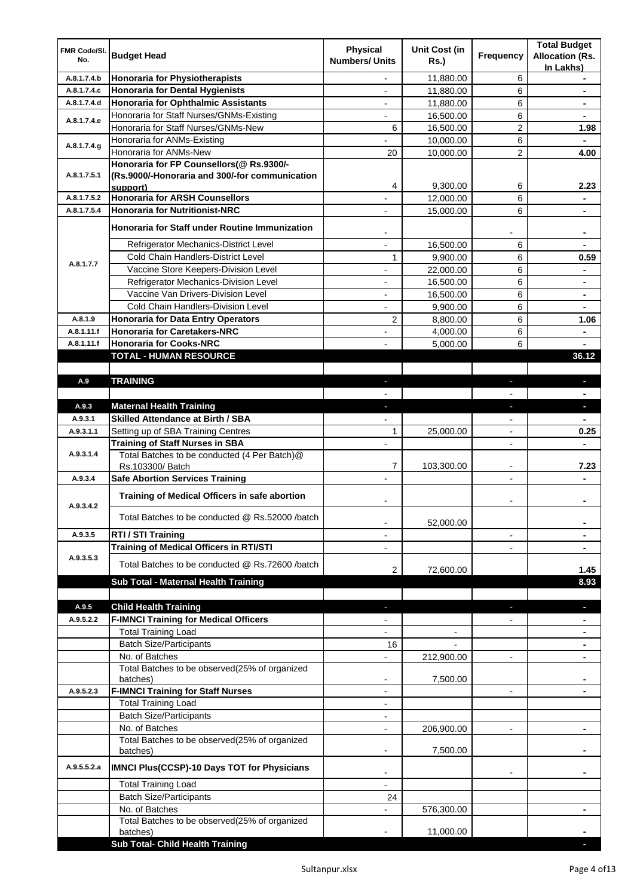| FMR Code/SI.<br>No. | <b>Budget Head</b>                                                                                     | <b>Physical</b><br><b>Numbers/ Units</b> | <b>Unit Cost (in</b><br><b>Rs.)</b> | <b>Frequency</b>             | <b>Total Budget</b><br><b>Allocation (Rs.</b><br>In Lakhs) |
|---------------------|--------------------------------------------------------------------------------------------------------|------------------------------------------|-------------------------------------|------------------------------|------------------------------------------------------------|
| A.8.1.7.4.b         | Honoraria for Physiotherapists                                                                         | $\overline{a}$                           | 11,880.00                           | 6                            |                                                            |
| A.8.1.7.4.c         | Honoraria for Dental Hygienists                                                                        | $\overline{\phantom{a}}$                 | 11,880.00                           | 6                            | ٠                                                          |
| A.8.1.7.4.d         | Honoraria for Ophthalmic Assistants                                                                    | $\overline{\phantom{a}}$                 | 11,880.00                           | 6                            | $\blacksquare$                                             |
| A.8.1.7.4.e         | Honoraria for Staff Nurses/GNMs-Existing                                                               | $\overline{\phantom{a}}$                 | 16,500.00                           | 6                            | $\blacksquare$                                             |
|                     | Honoraria for Staff Nurses/GNMs-New                                                                    | 6                                        | 16,500.00                           | $\mathbf{2}$                 | 1.98                                                       |
| A.8.1.7.4.g         | Honoraria for ANMs-Existing                                                                            |                                          | 10,000.00                           | 6                            |                                                            |
|                     | Honoraria for ANMs-New                                                                                 | 20                                       | 10,000.00                           | $\overline{c}$               | 4.00                                                       |
| A.8.1.7.5.1         | Honoraria for FP Counsellors(@ Rs.9300/-<br>(Rs.9000/-Honoraria and 300/-for communication<br>support) | 4                                        | 9,300.00                            | 6                            | 2.23                                                       |
| A.8.1.7.5.2         | <b>Honoraria for ARSH Counsellors</b>                                                                  | $\overline{\phantom{a}}$                 | 12,000.00                           | 6                            |                                                            |
| A.8.1.7.5.4         | <b>Honoraria for Nutritionist-NRC</b>                                                                  |                                          | 15,000.00                           | 6                            | ۰                                                          |
|                     | Honoraria for Staff under Routine Immunization                                                         |                                          |                                     |                              |                                                            |
|                     | Refrigerator Mechanics-District Level                                                                  | $\overline{a}$                           | 16,500.00                           | 6                            |                                                            |
| A.8.1.7.7           | Cold Chain Handlers-District Level                                                                     | $\mathbf{1}$                             | 9,900.00                            | 6                            | 0.59                                                       |
|                     | Vaccine Store Keepers-Division Level                                                                   | $\overline{a}$                           | 22,000.00                           | 6                            | $\blacksquare$                                             |
|                     | Refrigerator Mechanics-Division Level                                                                  | $\overline{\phantom{a}}$                 | 16,500.00                           | 6                            | $\blacksquare$                                             |
|                     | Vaccine Van Drivers-Division Level                                                                     | $\blacksquare$                           | 16,500.00                           | 6                            | $\blacksquare$                                             |
|                     | Cold Chain Handlers-Division Level                                                                     | $\overline{\phantom{a}}$                 | 9,900.00                            | 6                            | $\blacksquare$                                             |
| A.8.1.9             | Honoraria for Data Entry Operators                                                                     | $\overline{2}$                           | 8,800.00                            | 6                            | 1.06                                                       |
| A.8.1.11.f          | <b>Honoraria for Caretakers-NRC</b>                                                                    |                                          | 4,000.00                            | 6                            |                                                            |
| A.8.1.11.f          | <b>Honoraria for Cooks-NRC</b>                                                                         |                                          | 5,000.00                            | 6                            |                                                            |
|                     | TOTAL - HUMAN RESOURCE                                                                                 |                                          |                                     |                              | 36.12                                                      |
|                     |                                                                                                        |                                          |                                     |                              |                                                            |
| A.9                 | <b>TRAINING</b>                                                                                        | $\sim$                                   |                                     | $\overline{\phantom{a}}$     | L.                                                         |
|                     |                                                                                                        |                                          |                                     |                              |                                                            |
| A.9.3               | <b>Maternal Health Training</b>                                                                        | a.                                       |                                     | a,                           | $\blacksquare$                                             |
| A.9.3.1             | <b>Skilled Attendance at Birth / SBA</b>                                                               | $\overline{a}$                           |                                     | $\overline{\phantom{0}}$     |                                                            |
| A.9.3.1.1           | Setting up of SBA Training Centres                                                                     | 1                                        | 25,000.00                           | $\blacksquare$               | 0.25                                                       |
| A.9.3.1.4           | <b>Training of Staff Nurses in SBA</b><br>Total Batches to be conducted (4 Per Batch)@                 |                                          |                                     | $\overline{\phantom{a}}$     | $\blacksquare$                                             |
|                     | Rs.103300/ Batch                                                                                       | 7                                        | 103,300.00                          | $\qquad \qquad \blacksquare$ | 7.23                                                       |
| A.9.3.4             | <b>Safe Abortion Services Training</b>                                                                 |                                          |                                     | $\overline{\phantom{m}}$     |                                                            |
| A.9.3.4.2           | Training of Medical Officers in safe abortion                                                          |                                          |                                     |                              |                                                            |
|                     | Total Batches to be conducted @ Rs.52000 /batch                                                        |                                          | 52,000.00                           |                              |                                                            |
| A.9.3.5             | RTI / STI Training                                                                                     |                                          |                                     |                              |                                                            |
|                     | <b>Training of Medical Officers in RTI/STI</b>                                                         |                                          |                                     |                              |                                                            |
| A.9.3.5.3           | Total Batches to be conducted @ Rs.72600 /batch                                                        | $\overline{2}$                           | 72,600.00                           |                              | 1.45                                                       |
|                     | Sub Total - Maternal Health Training                                                                   |                                          |                                     |                              | 8.93                                                       |
|                     |                                                                                                        |                                          |                                     |                              |                                                            |
| A.9.5               | <b>Child Health Training</b>                                                                           | $\blacksquare$                           |                                     | J,                           | ٠                                                          |
| A.9.5.2.2           | <b>F-IMNCI Training for Medical Officers</b>                                                           | $\overline{\phantom{a}}$                 |                                     | $\overline{\phantom{a}}$     | ٠                                                          |
|                     | <b>Total Training Load</b>                                                                             | $\overline{\phantom{a}}$                 | $\overline{\phantom{a}}$            |                              | ۰                                                          |
|                     | <b>Batch Size/Participants</b>                                                                         | 16                                       |                                     |                              | ۰                                                          |
|                     | No. of Batches                                                                                         | $\overline{a}$                           | 212,900.00                          | $\frac{1}{2}$                | $\blacksquare$                                             |
|                     | Total Batches to be observed(25% of organized<br>batches)                                              |                                          | 7,500.00                            |                              |                                                            |
| A.9.5.2.3           | <b>F-IMNCI Training for Staff Nurses</b>                                                               | $\overline{a}$                           |                                     | $\overline{\phantom{a}}$     |                                                            |
|                     | <b>Total Training Load</b>                                                                             | $\blacksquare$                           |                                     |                              |                                                            |
|                     | <b>Batch Size/Participants</b>                                                                         | $\blacksquare$                           |                                     |                              |                                                            |
|                     | No. of Batches                                                                                         | $\overline{\phantom{a}}$                 | 206,900.00                          | $\overline{\phantom{a}}$     | ٠                                                          |
|                     | Total Batches to be observed(25% of organized<br>batches)                                              |                                          | 7,500.00                            |                              |                                                            |
| A.9.5.5.2.a         | <b>IMNCI Plus(CCSP)-10 Days TOT for Physicians</b>                                                     | $\overline{\phantom{a}}$                 |                                     |                              |                                                            |
|                     | <b>Total Training Load</b>                                                                             | $\overline{\phantom{a}}$                 |                                     |                              |                                                            |
|                     | <b>Batch Size/Participants</b>                                                                         | 24                                       |                                     |                              |                                                            |
|                     | No. of Batches                                                                                         |                                          | 576,300.00                          |                              | $\blacksquare$                                             |
|                     | Total Batches to be observed(25% of organized<br>batches)                                              |                                          | 11,000.00                           |                              |                                                            |
|                     | Sub Total- Child Health Training                                                                       |                                          |                                     |                              |                                                            |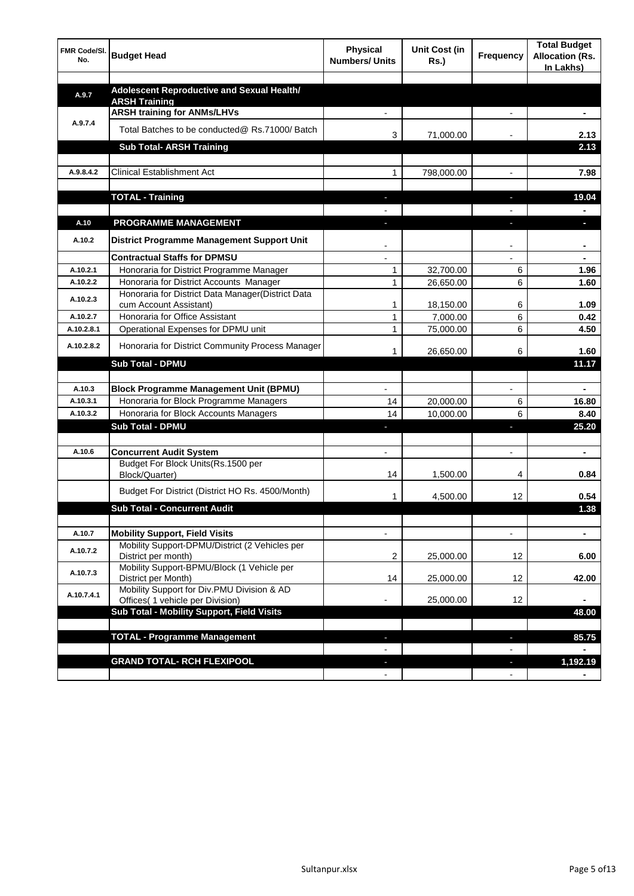| FMR Code/SI.<br>No.    | <b>Budget Head</b>                                                              | <b>Physical</b><br><b>Numbers/ Units</b> | Unit Cost (in<br>Rs.)  | Frequency                | <b>Total Budget</b><br><b>Allocation (Rs.</b><br>In Lakhs) |
|------------------------|---------------------------------------------------------------------------------|------------------------------------------|------------------------|--------------------------|------------------------------------------------------------|
|                        |                                                                                 |                                          |                        |                          |                                                            |
| A.9.7                  | Adolescent Reproductive and Sexual Health/<br><b>ARSH Training</b>              |                                          |                        |                          |                                                            |
|                        | <b>ARSH training for ANMs/LHVs</b>                                              |                                          |                        |                          |                                                            |
| A.9.7.4                | Total Batches to be conducted@ Rs.71000/ Batch                                  | 3                                        | 71,000.00              |                          | 2.13                                                       |
|                        | <b>Sub Total- ARSH Training</b>                                                 |                                          |                        |                          | 2.13                                                       |
|                        |                                                                                 |                                          |                        |                          |                                                            |
| A.9.8.4.2              | <b>Clinical Establishment Act</b>                                               | 1                                        | 798,000.00             |                          | 7.98                                                       |
|                        | <b>TOTAL - Training</b>                                                         | J.                                       |                        | $\overline{\phantom{a}}$ | 19.04                                                      |
|                        |                                                                                 |                                          |                        |                          |                                                            |
| A.10                   | <b>PROGRAMME MANAGEMENT</b>                                                     |                                          |                        |                          |                                                            |
| A.10.2                 | District Programme Management Support Unit                                      |                                          |                        |                          | $\blacksquare$                                             |
|                        | <b>Contractual Staffs for DPMSU</b>                                             |                                          |                        |                          |                                                            |
| A.10.2.1               | Honoraria for District Programme Manager                                        | $\mathbf{1}$                             | 32,700.00              | 6                        | 1.96                                                       |
| A.10.2.2               | Honoraria for District Accounts Manager                                         | 1                                        | 26,650.00              | 6                        | 1.60                                                       |
| A.10.2.3               | Honoraria for District Data Manager(District Data                               |                                          |                        |                          |                                                            |
|                        | cum Account Assistant)                                                          | $\mathbf{1}$                             | 18,150.00              | 6                        | 1.09                                                       |
| A.10.2.7<br>A.10.2.8.1 | Honoraria for Office Assistant                                                  | $\mathbf{1}$<br>$\mathbf{1}$             | 7,000.00               | 6<br>6                   | 0.42                                                       |
|                        | Operational Expenses for DPMU unit                                              |                                          | 75,000.00              |                          | 4.50                                                       |
| A.10.2.8.2             | Honoraria for District Community Process Manager                                | 1                                        | 26,650.00              | 6                        | 1.60                                                       |
|                        | <b>Sub Total - DPMU</b>                                                         |                                          |                        |                          | 11.17                                                      |
|                        |                                                                                 |                                          |                        |                          |                                                            |
| A.10.3<br>A.10.3.1     | <b>Block Programme Management Unit (BPMU)</b>                                   |                                          |                        |                          |                                                            |
| A.10.3.2               | Honoraria for Block Programme Managers<br>Honoraria for Block Accounts Managers | 14<br>14                                 | 20,000.00<br>10,000.00 | 6<br>6                   | 16.80<br>8.40                                              |
|                        | <b>Sub Total - DPMU</b>                                                         |                                          |                        | a,                       | 25.20                                                      |
|                        |                                                                                 |                                          |                        |                          |                                                            |
| A.10.6                 | <b>Concurrent Audit System</b>                                                  |                                          |                        | $\overline{a}$           | ÷                                                          |
|                        | Budget For Block Units(Rs.1500 per                                              |                                          |                        |                          |                                                            |
|                        | Block/Quarter)                                                                  | 14                                       | 1,500.00               | 4                        | 0.84                                                       |
|                        | Budget For District (District HO Rs. 4500/Month)                                | 1                                        | 4,500.00               | 12                       | 0.54                                                       |
|                        | <b>Sub Total - Concurrent Audit</b>                                             |                                          |                        |                          | 1.38                                                       |
| A.10.7                 | <b>Mobility Support, Field Visits</b>                                           | $\overline{a}$                           |                        |                          |                                                            |
|                        | Mobility Support-DPMU/District (2 Vehicles per                                  |                                          |                        |                          |                                                            |
| A.10.7.2               | District per month)                                                             | 2                                        | 25,000.00              | 12                       | 6.00                                                       |
| A.10.7.3               | Mobility Support-BPMU/Block (1 Vehicle per<br>District per Month)               | 14                                       | 25,000.00              | 12                       | 42.00                                                      |
| A.10.7.4.1             | Mobility Support for Div.PMU Division & AD                                      |                                          |                        |                          |                                                            |
|                        | Offices( 1 vehicle per Division)<br>Sub Total - Mobility Support, Field Visits  |                                          | 25,000.00              | 12                       | 48.00                                                      |
|                        |                                                                                 |                                          |                        |                          |                                                            |
|                        | <b>TOTAL - Programme Management</b>                                             | $\sim$                                   |                        | J,                       | 85.75                                                      |
|                        |                                                                                 |                                          |                        |                          |                                                            |
|                        | <b>GRAND TOTAL- RCH FLEXIPOOL</b>                                               |                                          |                        |                          | 1,192.19                                                   |
|                        |                                                                                 |                                          |                        |                          |                                                            |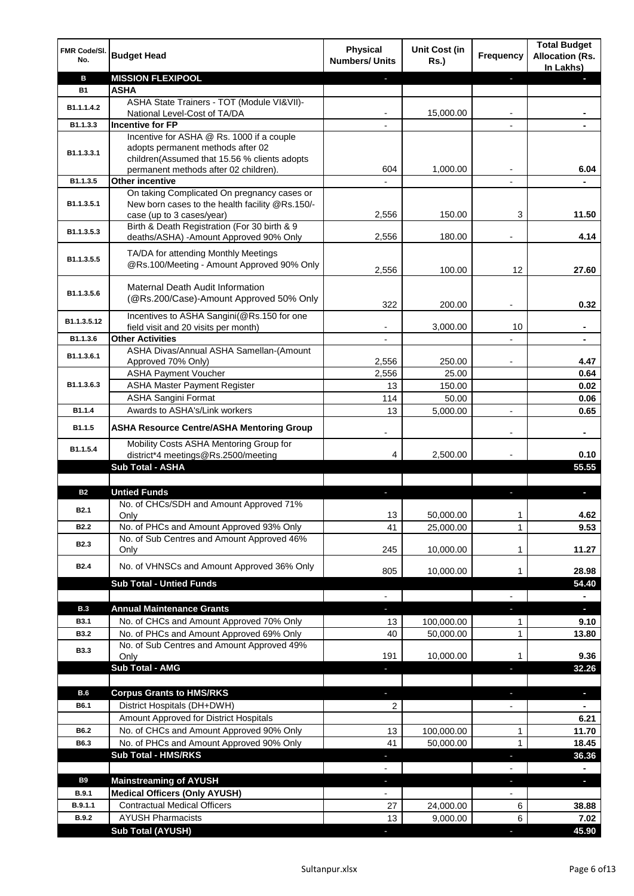| <b>MISSION FLEXIPOOL</b><br>в<br><b>B1</b><br><b>ASHA</b><br>ASHA State Trainers - TOT (Module VI&VII)-<br>B1.1.1.4.2<br>15,000.00<br>National Level-Cost of TA/DA<br><b>Incentive for FP</b><br>B1.1.3.3<br>Incentive for ASHA @ Rs. 1000 if a couple<br>adopts permanent methods after 02<br>B1.1.3.3.1<br>children(Assumed that 15.56 % clients adopts<br>1,000.00<br>permanent methods after 02 children).<br>604<br>6.04<br>$\overline{\phantom{a}}$<br>B1.1.3.5<br><b>Other incentive</b><br>$\overline{a}$<br>$\overline{\phantom{a}}$<br>On taking Complicated On pregnancy cases or<br>New born cases to the health facility @Rs.150/-<br>B1.1.3.5.1<br>case (up to 3 cases/year)<br>150.00<br>3<br>11.50<br>2,556<br>Birth & Death Registration (For 30 birth & 9<br>B1.1.3.5.3<br>4.14<br>deaths/ASHA) -Amount Approved 90% Only<br>2,556<br>180.00<br>TA/DA for attending Monthly Meetings<br>B1.1.3.5.5<br>@Rs.100/Meeting - Amount Approved 90% Only<br>100.00<br>12<br>27.60<br>2,556<br>Maternal Death Audit Information<br>B1.1.3.5.6<br>(@Rs.200/Case)-Amount Approved 50% Only<br>322<br>200.00<br>0.32<br>Incentives to ASHA Sangini(@Rs.150 for one<br>B1.1.3.5.12<br>field visit and 20 visits per month)<br>3,000.00<br>10<br><b>Other Activities</b><br>B1.1.3.6<br>ASHA Divas/Annual ASHA Samellan-(Amount<br>B1.1.3.6.1<br>250.00<br>4.47<br>Approved 70% Only)<br>2,556<br><b>ASHA Payment Voucher</b><br>2,556<br>25.00<br>0.64<br><b>ASHA Master Payment Register</b><br>B1.1.3.6.3<br>13<br>150.00<br>0.02<br><b>ASHA Sangini Format</b><br>114<br>50.00<br>0.06<br>Awards to ASHA's/Link workers<br>B1.1.4<br>13<br>5,000.00<br>0.65<br>$\overline{a}$<br>B1.1.5<br><b>ASHA Resource Centre/ASHA Mentoring Group</b><br>Mobility Costs ASHA Mentoring Group for<br>B1.1.5.4<br>0.10<br>district*4 meetings@Rs.2500/meeting<br>4<br>2,500.00<br>Sub Total - ASHA<br>55.55<br><b>Untied Funds</b><br><b>B2</b><br>No. of CHCs/SDH and Amount Approved 71%<br><b>B2.1</b><br>13<br>50,000.00<br>4.62<br>Only<br>No. of PHCs and Amount Approved 93% Only<br>$\mathbf{1}$<br>B <sub>2.2</sub><br>41<br>25,000.00<br>9.53<br>No. of Sub Centres and Amount Approved 46%<br>B <sub>2.3</sub><br>245<br>11.27<br>10,000.00<br>Only<br>1<br>No. of VHNSCs and Amount Approved 36% Only<br><b>B2.4</b><br>805<br>10,000.00<br>28.98<br>1<br><b>Sub Total - Untied Funds</b><br>54.40<br>$\blacksquare$<br>$\blacksquare$<br>$\overline{\phantom{a}}$<br><b>B.3</b><br><b>Annual Maintenance Grants</b><br>÷.<br>٠<br>÷,<br>No. of CHCs and Amount Approved 70% Only<br>100,000.00<br><b>B3.1</b><br>13<br>1<br>9.10<br>No. of PHCs and Amount Approved 69% Only<br><b>B3.2</b><br>40<br>50,000.00<br>13.80<br>1<br>No. of Sub Centres and Amount Approved 49%<br><b>B3.3</b><br>9.36<br>191<br>10,000.00<br>1<br>Only<br><b>Sub Total - AMG</b><br>32.26<br>a,<br>٠<br>B.6<br><b>Corpus Grants to HMS/RKS</b><br>a,<br>ä,<br>٠<br>District Hospitals (DH+DWH)<br><b>B6.1</b><br>2<br>$\blacksquare$<br>Amount Approved for District Hospitals<br>6.21<br>No. of CHCs and Amount Approved 90% Only<br>11.70<br>B6.2<br>100,000.00<br>13<br>1<br>No. of PHCs and Amount Approved 90% Only<br>41<br>50,000.00<br>$\mathbf{1}$<br>18.45<br>B6.3<br><b>Sub Total - HMS/RKS</b><br>36.36<br>٠<br>÷<br>$\blacksquare$<br>B9<br><b>Mainstreaming of AYUSH</b><br>٠<br>٠<br>٠<br><b>Medical Officers (Only AYUSH)</b><br>B.9.1<br>$\blacksquare$<br><b>Contractual Medical Officers</b><br>B.9.1.1<br>27<br>24,000.00<br>6<br>38.88<br><b>AYUSH Pharmacists</b><br>6<br>9,000.00<br><b>B.9.2</b><br>13<br>7.02<br><b>Sub Total (AYUSH)</b><br>45.90 | FMR Code/SI.<br>No. | <b>Budget Head</b> | <b>Physical</b><br><b>Numbers/ Units</b> | <b>Unit Cost (in</b><br><b>Rs.)</b> | Frequency | <b>Total Budget</b><br><b>Allocation (Rs.</b><br>In Lakhs) |
|------------------------------------------------------------------------------------------------------------------------------------------------------------------------------------------------------------------------------------------------------------------------------------------------------------------------------------------------------------------------------------------------------------------------------------------------------------------------------------------------------------------------------------------------------------------------------------------------------------------------------------------------------------------------------------------------------------------------------------------------------------------------------------------------------------------------------------------------------------------------------------------------------------------------------------------------------------------------------------------------------------------------------------------------------------------------------------------------------------------------------------------------------------------------------------------------------------------------------------------------------------------------------------------------------------------------------------------------------------------------------------------------------------------------------------------------------------------------------------------------------------------------------------------------------------------------------------------------------------------------------------------------------------------------------------------------------------------------------------------------------------------------------------------------------------------------------------------------------------------------------------------------------------------------------------------------------------------------------------------------------------------------------------------------------------------------------------------------------------------------------------------------------------------------------------------------------------------------------------------------------------------------------------------------------------------------------------------------------------------------------------------------------------------------------------------------------------------------------------------------------------------------------------------------------------------------------------------------------------------------------------------------------------------------------------------------------------------------------------------------------------------------------------------------------------------------------------------------------------------------------------------------------------------------------------------------------------------------------------------------------------------------------------------------------------------------------------------------------------------------------------------------------------------------------------------------------------------------------------------------------------------------------------------------------------------------------------------------------------------------------------------------------------------------------------------------------------------------------------------------------------------------------------------------------------------------------------------------------------------------------------------------------------------|---------------------|--------------------|------------------------------------------|-------------------------------------|-----------|------------------------------------------------------------|
|                                                                                                                                                                                                                                                                                                                                                                                                                                                                                                                                                                                                                                                                                                                                                                                                                                                                                                                                                                                                                                                                                                                                                                                                                                                                                                                                                                                                                                                                                                                                                                                                                                                                                                                                                                                                                                                                                                                                                                                                                                                                                                                                                                                                                                                                                                                                                                                                                                                                                                                                                                                                                                                                                                                                                                                                                                                                                                                                                                                                                                                                                                                                                                                                                                                                                                                                                                                                                                                                                                                                                                                                                                                                  |                     |                    |                                          |                                     |           |                                                            |
|                                                                                                                                                                                                                                                                                                                                                                                                                                                                                                                                                                                                                                                                                                                                                                                                                                                                                                                                                                                                                                                                                                                                                                                                                                                                                                                                                                                                                                                                                                                                                                                                                                                                                                                                                                                                                                                                                                                                                                                                                                                                                                                                                                                                                                                                                                                                                                                                                                                                                                                                                                                                                                                                                                                                                                                                                                                                                                                                                                                                                                                                                                                                                                                                                                                                                                                                                                                                                                                                                                                                                                                                                                                                  |                     |                    |                                          |                                     |           |                                                            |
|                                                                                                                                                                                                                                                                                                                                                                                                                                                                                                                                                                                                                                                                                                                                                                                                                                                                                                                                                                                                                                                                                                                                                                                                                                                                                                                                                                                                                                                                                                                                                                                                                                                                                                                                                                                                                                                                                                                                                                                                                                                                                                                                                                                                                                                                                                                                                                                                                                                                                                                                                                                                                                                                                                                                                                                                                                                                                                                                                                                                                                                                                                                                                                                                                                                                                                                                                                                                                                                                                                                                                                                                                                                                  |                     |                    |                                          |                                     |           |                                                            |
|                                                                                                                                                                                                                                                                                                                                                                                                                                                                                                                                                                                                                                                                                                                                                                                                                                                                                                                                                                                                                                                                                                                                                                                                                                                                                                                                                                                                                                                                                                                                                                                                                                                                                                                                                                                                                                                                                                                                                                                                                                                                                                                                                                                                                                                                                                                                                                                                                                                                                                                                                                                                                                                                                                                                                                                                                                                                                                                                                                                                                                                                                                                                                                                                                                                                                                                                                                                                                                                                                                                                                                                                                                                                  |                     |                    |                                          |                                     |           |                                                            |
|                                                                                                                                                                                                                                                                                                                                                                                                                                                                                                                                                                                                                                                                                                                                                                                                                                                                                                                                                                                                                                                                                                                                                                                                                                                                                                                                                                                                                                                                                                                                                                                                                                                                                                                                                                                                                                                                                                                                                                                                                                                                                                                                                                                                                                                                                                                                                                                                                                                                                                                                                                                                                                                                                                                                                                                                                                                                                                                                                                                                                                                                                                                                                                                                                                                                                                                                                                                                                                                                                                                                                                                                                                                                  |                     |                    |                                          |                                     |           |                                                            |
|                                                                                                                                                                                                                                                                                                                                                                                                                                                                                                                                                                                                                                                                                                                                                                                                                                                                                                                                                                                                                                                                                                                                                                                                                                                                                                                                                                                                                                                                                                                                                                                                                                                                                                                                                                                                                                                                                                                                                                                                                                                                                                                                                                                                                                                                                                                                                                                                                                                                                                                                                                                                                                                                                                                                                                                                                                                                                                                                                                                                                                                                                                                                                                                                                                                                                                                                                                                                                                                                                                                                                                                                                                                                  |                     |                    |                                          |                                     |           |                                                            |
|                                                                                                                                                                                                                                                                                                                                                                                                                                                                                                                                                                                                                                                                                                                                                                                                                                                                                                                                                                                                                                                                                                                                                                                                                                                                                                                                                                                                                                                                                                                                                                                                                                                                                                                                                                                                                                                                                                                                                                                                                                                                                                                                                                                                                                                                                                                                                                                                                                                                                                                                                                                                                                                                                                                                                                                                                                                                                                                                                                                                                                                                                                                                                                                                                                                                                                                                                                                                                                                                                                                                                                                                                                                                  |                     |                    |                                          |                                     |           |                                                            |
|                                                                                                                                                                                                                                                                                                                                                                                                                                                                                                                                                                                                                                                                                                                                                                                                                                                                                                                                                                                                                                                                                                                                                                                                                                                                                                                                                                                                                                                                                                                                                                                                                                                                                                                                                                                                                                                                                                                                                                                                                                                                                                                                                                                                                                                                                                                                                                                                                                                                                                                                                                                                                                                                                                                                                                                                                                                                                                                                                                                                                                                                                                                                                                                                                                                                                                                                                                                                                                                                                                                                                                                                                                                                  |                     |                    |                                          |                                     |           |                                                            |
|                                                                                                                                                                                                                                                                                                                                                                                                                                                                                                                                                                                                                                                                                                                                                                                                                                                                                                                                                                                                                                                                                                                                                                                                                                                                                                                                                                                                                                                                                                                                                                                                                                                                                                                                                                                                                                                                                                                                                                                                                                                                                                                                                                                                                                                                                                                                                                                                                                                                                                                                                                                                                                                                                                                                                                                                                                                                                                                                                                                                                                                                                                                                                                                                                                                                                                                                                                                                                                                                                                                                                                                                                                                                  |                     |                    |                                          |                                     |           |                                                            |
|                                                                                                                                                                                                                                                                                                                                                                                                                                                                                                                                                                                                                                                                                                                                                                                                                                                                                                                                                                                                                                                                                                                                                                                                                                                                                                                                                                                                                                                                                                                                                                                                                                                                                                                                                                                                                                                                                                                                                                                                                                                                                                                                                                                                                                                                                                                                                                                                                                                                                                                                                                                                                                                                                                                                                                                                                                                                                                                                                                                                                                                                                                                                                                                                                                                                                                                                                                                                                                                                                                                                                                                                                                                                  |                     |                    |                                          |                                     |           |                                                            |
|                                                                                                                                                                                                                                                                                                                                                                                                                                                                                                                                                                                                                                                                                                                                                                                                                                                                                                                                                                                                                                                                                                                                                                                                                                                                                                                                                                                                                                                                                                                                                                                                                                                                                                                                                                                                                                                                                                                                                                                                                                                                                                                                                                                                                                                                                                                                                                                                                                                                                                                                                                                                                                                                                                                                                                                                                                                                                                                                                                                                                                                                                                                                                                                                                                                                                                                                                                                                                                                                                                                                                                                                                                                                  |                     |                    |                                          |                                     |           |                                                            |
|                                                                                                                                                                                                                                                                                                                                                                                                                                                                                                                                                                                                                                                                                                                                                                                                                                                                                                                                                                                                                                                                                                                                                                                                                                                                                                                                                                                                                                                                                                                                                                                                                                                                                                                                                                                                                                                                                                                                                                                                                                                                                                                                                                                                                                                                                                                                                                                                                                                                                                                                                                                                                                                                                                                                                                                                                                                                                                                                                                                                                                                                                                                                                                                                                                                                                                                                                                                                                                                                                                                                                                                                                                                                  |                     |                    |                                          |                                     |           |                                                            |
|                                                                                                                                                                                                                                                                                                                                                                                                                                                                                                                                                                                                                                                                                                                                                                                                                                                                                                                                                                                                                                                                                                                                                                                                                                                                                                                                                                                                                                                                                                                                                                                                                                                                                                                                                                                                                                                                                                                                                                                                                                                                                                                                                                                                                                                                                                                                                                                                                                                                                                                                                                                                                                                                                                                                                                                                                                                                                                                                                                                                                                                                                                                                                                                                                                                                                                                                                                                                                                                                                                                                                                                                                                                                  |                     |                    |                                          |                                     |           |                                                            |
|                                                                                                                                                                                                                                                                                                                                                                                                                                                                                                                                                                                                                                                                                                                                                                                                                                                                                                                                                                                                                                                                                                                                                                                                                                                                                                                                                                                                                                                                                                                                                                                                                                                                                                                                                                                                                                                                                                                                                                                                                                                                                                                                                                                                                                                                                                                                                                                                                                                                                                                                                                                                                                                                                                                                                                                                                                                                                                                                                                                                                                                                                                                                                                                                                                                                                                                                                                                                                                                                                                                                                                                                                                                                  |                     |                    |                                          |                                     |           |                                                            |
|                                                                                                                                                                                                                                                                                                                                                                                                                                                                                                                                                                                                                                                                                                                                                                                                                                                                                                                                                                                                                                                                                                                                                                                                                                                                                                                                                                                                                                                                                                                                                                                                                                                                                                                                                                                                                                                                                                                                                                                                                                                                                                                                                                                                                                                                                                                                                                                                                                                                                                                                                                                                                                                                                                                                                                                                                                                                                                                                                                                                                                                                                                                                                                                                                                                                                                                                                                                                                                                                                                                                                                                                                                                                  |                     |                    |                                          |                                     |           |                                                            |
|                                                                                                                                                                                                                                                                                                                                                                                                                                                                                                                                                                                                                                                                                                                                                                                                                                                                                                                                                                                                                                                                                                                                                                                                                                                                                                                                                                                                                                                                                                                                                                                                                                                                                                                                                                                                                                                                                                                                                                                                                                                                                                                                                                                                                                                                                                                                                                                                                                                                                                                                                                                                                                                                                                                                                                                                                                                                                                                                                                                                                                                                                                                                                                                                                                                                                                                                                                                                                                                                                                                                                                                                                                                                  |                     |                    |                                          |                                     |           |                                                            |
|                                                                                                                                                                                                                                                                                                                                                                                                                                                                                                                                                                                                                                                                                                                                                                                                                                                                                                                                                                                                                                                                                                                                                                                                                                                                                                                                                                                                                                                                                                                                                                                                                                                                                                                                                                                                                                                                                                                                                                                                                                                                                                                                                                                                                                                                                                                                                                                                                                                                                                                                                                                                                                                                                                                                                                                                                                                                                                                                                                                                                                                                                                                                                                                                                                                                                                                                                                                                                                                                                                                                                                                                                                                                  |                     |                    |                                          |                                     |           |                                                            |
|                                                                                                                                                                                                                                                                                                                                                                                                                                                                                                                                                                                                                                                                                                                                                                                                                                                                                                                                                                                                                                                                                                                                                                                                                                                                                                                                                                                                                                                                                                                                                                                                                                                                                                                                                                                                                                                                                                                                                                                                                                                                                                                                                                                                                                                                                                                                                                                                                                                                                                                                                                                                                                                                                                                                                                                                                                                                                                                                                                                                                                                                                                                                                                                                                                                                                                                                                                                                                                                                                                                                                                                                                                                                  |                     |                    |                                          |                                     |           |                                                            |
|                                                                                                                                                                                                                                                                                                                                                                                                                                                                                                                                                                                                                                                                                                                                                                                                                                                                                                                                                                                                                                                                                                                                                                                                                                                                                                                                                                                                                                                                                                                                                                                                                                                                                                                                                                                                                                                                                                                                                                                                                                                                                                                                                                                                                                                                                                                                                                                                                                                                                                                                                                                                                                                                                                                                                                                                                                                                                                                                                                                                                                                                                                                                                                                                                                                                                                                                                                                                                                                                                                                                                                                                                                                                  |                     |                    |                                          |                                     |           |                                                            |
|                                                                                                                                                                                                                                                                                                                                                                                                                                                                                                                                                                                                                                                                                                                                                                                                                                                                                                                                                                                                                                                                                                                                                                                                                                                                                                                                                                                                                                                                                                                                                                                                                                                                                                                                                                                                                                                                                                                                                                                                                                                                                                                                                                                                                                                                                                                                                                                                                                                                                                                                                                                                                                                                                                                                                                                                                                                                                                                                                                                                                                                                                                                                                                                                                                                                                                                                                                                                                                                                                                                                                                                                                                                                  |                     |                    |                                          |                                     |           |                                                            |
|                                                                                                                                                                                                                                                                                                                                                                                                                                                                                                                                                                                                                                                                                                                                                                                                                                                                                                                                                                                                                                                                                                                                                                                                                                                                                                                                                                                                                                                                                                                                                                                                                                                                                                                                                                                                                                                                                                                                                                                                                                                                                                                                                                                                                                                                                                                                                                                                                                                                                                                                                                                                                                                                                                                                                                                                                                                                                                                                                                                                                                                                                                                                                                                                                                                                                                                                                                                                                                                                                                                                                                                                                                                                  |                     |                    |                                          |                                     |           |                                                            |
|                                                                                                                                                                                                                                                                                                                                                                                                                                                                                                                                                                                                                                                                                                                                                                                                                                                                                                                                                                                                                                                                                                                                                                                                                                                                                                                                                                                                                                                                                                                                                                                                                                                                                                                                                                                                                                                                                                                                                                                                                                                                                                                                                                                                                                                                                                                                                                                                                                                                                                                                                                                                                                                                                                                                                                                                                                                                                                                                                                                                                                                                                                                                                                                                                                                                                                                                                                                                                                                                                                                                                                                                                                                                  |                     |                    |                                          |                                     |           |                                                            |
|                                                                                                                                                                                                                                                                                                                                                                                                                                                                                                                                                                                                                                                                                                                                                                                                                                                                                                                                                                                                                                                                                                                                                                                                                                                                                                                                                                                                                                                                                                                                                                                                                                                                                                                                                                                                                                                                                                                                                                                                                                                                                                                                                                                                                                                                                                                                                                                                                                                                                                                                                                                                                                                                                                                                                                                                                                                                                                                                                                                                                                                                                                                                                                                                                                                                                                                                                                                                                                                                                                                                                                                                                                                                  |                     |                    |                                          |                                     |           |                                                            |
|                                                                                                                                                                                                                                                                                                                                                                                                                                                                                                                                                                                                                                                                                                                                                                                                                                                                                                                                                                                                                                                                                                                                                                                                                                                                                                                                                                                                                                                                                                                                                                                                                                                                                                                                                                                                                                                                                                                                                                                                                                                                                                                                                                                                                                                                                                                                                                                                                                                                                                                                                                                                                                                                                                                                                                                                                                                                                                                                                                                                                                                                                                                                                                                                                                                                                                                                                                                                                                                                                                                                                                                                                                                                  |                     |                    |                                          |                                     |           |                                                            |
|                                                                                                                                                                                                                                                                                                                                                                                                                                                                                                                                                                                                                                                                                                                                                                                                                                                                                                                                                                                                                                                                                                                                                                                                                                                                                                                                                                                                                                                                                                                                                                                                                                                                                                                                                                                                                                                                                                                                                                                                                                                                                                                                                                                                                                                                                                                                                                                                                                                                                                                                                                                                                                                                                                                                                                                                                                                                                                                                                                                                                                                                                                                                                                                                                                                                                                                                                                                                                                                                                                                                                                                                                                                                  |                     |                    |                                          |                                     |           |                                                            |
|                                                                                                                                                                                                                                                                                                                                                                                                                                                                                                                                                                                                                                                                                                                                                                                                                                                                                                                                                                                                                                                                                                                                                                                                                                                                                                                                                                                                                                                                                                                                                                                                                                                                                                                                                                                                                                                                                                                                                                                                                                                                                                                                                                                                                                                                                                                                                                                                                                                                                                                                                                                                                                                                                                                                                                                                                                                                                                                                                                                                                                                                                                                                                                                                                                                                                                                                                                                                                                                                                                                                                                                                                                                                  |                     |                    |                                          |                                     |           |                                                            |
|                                                                                                                                                                                                                                                                                                                                                                                                                                                                                                                                                                                                                                                                                                                                                                                                                                                                                                                                                                                                                                                                                                                                                                                                                                                                                                                                                                                                                                                                                                                                                                                                                                                                                                                                                                                                                                                                                                                                                                                                                                                                                                                                                                                                                                                                                                                                                                                                                                                                                                                                                                                                                                                                                                                                                                                                                                                                                                                                                                                                                                                                                                                                                                                                                                                                                                                                                                                                                                                                                                                                                                                                                                                                  |                     |                    |                                          |                                     |           |                                                            |
|                                                                                                                                                                                                                                                                                                                                                                                                                                                                                                                                                                                                                                                                                                                                                                                                                                                                                                                                                                                                                                                                                                                                                                                                                                                                                                                                                                                                                                                                                                                                                                                                                                                                                                                                                                                                                                                                                                                                                                                                                                                                                                                                                                                                                                                                                                                                                                                                                                                                                                                                                                                                                                                                                                                                                                                                                                                                                                                                                                                                                                                                                                                                                                                                                                                                                                                                                                                                                                                                                                                                                                                                                                                                  |                     |                    |                                          |                                     |           |                                                            |
|                                                                                                                                                                                                                                                                                                                                                                                                                                                                                                                                                                                                                                                                                                                                                                                                                                                                                                                                                                                                                                                                                                                                                                                                                                                                                                                                                                                                                                                                                                                                                                                                                                                                                                                                                                                                                                                                                                                                                                                                                                                                                                                                                                                                                                                                                                                                                                                                                                                                                                                                                                                                                                                                                                                                                                                                                                                                                                                                                                                                                                                                                                                                                                                                                                                                                                                                                                                                                                                                                                                                                                                                                                                                  |                     |                    |                                          |                                     |           |                                                            |
|                                                                                                                                                                                                                                                                                                                                                                                                                                                                                                                                                                                                                                                                                                                                                                                                                                                                                                                                                                                                                                                                                                                                                                                                                                                                                                                                                                                                                                                                                                                                                                                                                                                                                                                                                                                                                                                                                                                                                                                                                                                                                                                                                                                                                                                                                                                                                                                                                                                                                                                                                                                                                                                                                                                                                                                                                                                                                                                                                                                                                                                                                                                                                                                                                                                                                                                                                                                                                                                                                                                                                                                                                                                                  |                     |                    |                                          |                                     |           |                                                            |
|                                                                                                                                                                                                                                                                                                                                                                                                                                                                                                                                                                                                                                                                                                                                                                                                                                                                                                                                                                                                                                                                                                                                                                                                                                                                                                                                                                                                                                                                                                                                                                                                                                                                                                                                                                                                                                                                                                                                                                                                                                                                                                                                                                                                                                                                                                                                                                                                                                                                                                                                                                                                                                                                                                                                                                                                                                                                                                                                                                                                                                                                                                                                                                                                                                                                                                                                                                                                                                                                                                                                                                                                                                                                  |                     |                    |                                          |                                     |           |                                                            |
|                                                                                                                                                                                                                                                                                                                                                                                                                                                                                                                                                                                                                                                                                                                                                                                                                                                                                                                                                                                                                                                                                                                                                                                                                                                                                                                                                                                                                                                                                                                                                                                                                                                                                                                                                                                                                                                                                                                                                                                                                                                                                                                                                                                                                                                                                                                                                                                                                                                                                                                                                                                                                                                                                                                                                                                                                                                                                                                                                                                                                                                                                                                                                                                                                                                                                                                                                                                                                                                                                                                                                                                                                                                                  |                     |                    |                                          |                                     |           |                                                            |
|                                                                                                                                                                                                                                                                                                                                                                                                                                                                                                                                                                                                                                                                                                                                                                                                                                                                                                                                                                                                                                                                                                                                                                                                                                                                                                                                                                                                                                                                                                                                                                                                                                                                                                                                                                                                                                                                                                                                                                                                                                                                                                                                                                                                                                                                                                                                                                                                                                                                                                                                                                                                                                                                                                                                                                                                                                                                                                                                                                                                                                                                                                                                                                                                                                                                                                                                                                                                                                                                                                                                                                                                                                                                  |                     |                    |                                          |                                     |           |                                                            |
|                                                                                                                                                                                                                                                                                                                                                                                                                                                                                                                                                                                                                                                                                                                                                                                                                                                                                                                                                                                                                                                                                                                                                                                                                                                                                                                                                                                                                                                                                                                                                                                                                                                                                                                                                                                                                                                                                                                                                                                                                                                                                                                                                                                                                                                                                                                                                                                                                                                                                                                                                                                                                                                                                                                                                                                                                                                                                                                                                                                                                                                                                                                                                                                                                                                                                                                                                                                                                                                                                                                                                                                                                                                                  |                     |                    |                                          |                                     |           |                                                            |
|                                                                                                                                                                                                                                                                                                                                                                                                                                                                                                                                                                                                                                                                                                                                                                                                                                                                                                                                                                                                                                                                                                                                                                                                                                                                                                                                                                                                                                                                                                                                                                                                                                                                                                                                                                                                                                                                                                                                                                                                                                                                                                                                                                                                                                                                                                                                                                                                                                                                                                                                                                                                                                                                                                                                                                                                                                                                                                                                                                                                                                                                                                                                                                                                                                                                                                                                                                                                                                                                                                                                                                                                                                                                  |                     |                    |                                          |                                     |           |                                                            |
|                                                                                                                                                                                                                                                                                                                                                                                                                                                                                                                                                                                                                                                                                                                                                                                                                                                                                                                                                                                                                                                                                                                                                                                                                                                                                                                                                                                                                                                                                                                                                                                                                                                                                                                                                                                                                                                                                                                                                                                                                                                                                                                                                                                                                                                                                                                                                                                                                                                                                                                                                                                                                                                                                                                                                                                                                                                                                                                                                                                                                                                                                                                                                                                                                                                                                                                                                                                                                                                                                                                                                                                                                                                                  |                     |                    |                                          |                                     |           |                                                            |
|                                                                                                                                                                                                                                                                                                                                                                                                                                                                                                                                                                                                                                                                                                                                                                                                                                                                                                                                                                                                                                                                                                                                                                                                                                                                                                                                                                                                                                                                                                                                                                                                                                                                                                                                                                                                                                                                                                                                                                                                                                                                                                                                                                                                                                                                                                                                                                                                                                                                                                                                                                                                                                                                                                                                                                                                                                                                                                                                                                                                                                                                                                                                                                                                                                                                                                                                                                                                                                                                                                                                                                                                                                                                  |                     |                    |                                          |                                     |           |                                                            |
|                                                                                                                                                                                                                                                                                                                                                                                                                                                                                                                                                                                                                                                                                                                                                                                                                                                                                                                                                                                                                                                                                                                                                                                                                                                                                                                                                                                                                                                                                                                                                                                                                                                                                                                                                                                                                                                                                                                                                                                                                                                                                                                                                                                                                                                                                                                                                                                                                                                                                                                                                                                                                                                                                                                                                                                                                                                                                                                                                                                                                                                                                                                                                                                                                                                                                                                                                                                                                                                                                                                                                                                                                                                                  |                     |                    |                                          |                                     |           |                                                            |
|                                                                                                                                                                                                                                                                                                                                                                                                                                                                                                                                                                                                                                                                                                                                                                                                                                                                                                                                                                                                                                                                                                                                                                                                                                                                                                                                                                                                                                                                                                                                                                                                                                                                                                                                                                                                                                                                                                                                                                                                                                                                                                                                                                                                                                                                                                                                                                                                                                                                                                                                                                                                                                                                                                                                                                                                                                                                                                                                                                                                                                                                                                                                                                                                                                                                                                                                                                                                                                                                                                                                                                                                                                                                  |                     |                    |                                          |                                     |           |                                                            |
|                                                                                                                                                                                                                                                                                                                                                                                                                                                                                                                                                                                                                                                                                                                                                                                                                                                                                                                                                                                                                                                                                                                                                                                                                                                                                                                                                                                                                                                                                                                                                                                                                                                                                                                                                                                                                                                                                                                                                                                                                                                                                                                                                                                                                                                                                                                                                                                                                                                                                                                                                                                                                                                                                                                                                                                                                                                                                                                                                                                                                                                                                                                                                                                                                                                                                                                                                                                                                                                                                                                                                                                                                                                                  |                     |                    |                                          |                                     |           |                                                            |
|                                                                                                                                                                                                                                                                                                                                                                                                                                                                                                                                                                                                                                                                                                                                                                                                                                                                                                                                                                                                                                                                                                                                                                                                                                                                                                                                                                                                                                                                                                                                                                                                                                                                                                                                                                                                                                                                                                                                                                                                                                                                                                                                                                                                                                                                                                                                                                                                                                                                                                                                                                                                                                                                                                                                                                                                                                                                                                                                                                                                                                                                                                                                                                                                                                                                                                                                                                                                                                                                                                                                                                                                                                                                  |                     |                    |                                          |                                     |           |                                                            |
|                                                                                                                                                                                                                                                                                                                                                                                                                                                                                                                                                                                                                                                                                                                                                                                                                                                                                                                                                                                                                                                                                                                                                                                                                                                                                                                                                                                                                                                                                                                                                                                                                                                                                                                                                                                                                                                                                                                                                                                                                                                                                                                                                                                                                                                                                                                                                                                                                                                                                                                                                                                                                                                                                                                                                                                                                                                                                                                                                                                                                                                                                                                                                                                                                                                                                                                                                                                                                                                                                                                                                                                                                                                                  |                     |                    |                                          |                                     |           |                                                            |
|                                                                                                                                                                                                                                                                                                                                                                                                                                                                                                                                                                                                                                                                                                                                                                                                                                                                                                                                                                                                                                                                                                                                                                                                                                                                                                                                                                                                                                                                                                                                                                                                                                                                                                                                                                                                                                                                                                                                                                                                                                                                                                                                                                                                                                                                                                                                                                                                                                                                                                                                                                                                                                                                                                                                                                                                                                                                                                                                                                                                                                                                                                                                                                                                                                                                                                                                                                                                                                                                                                                                                                                                                                                                  |                     |                    |                                          |                                     |           |                                                            |
|                                                                                                                                                                                                                                                                                                                                                                                                                                                                                                                                                                                                                                                                                                                                                                                                                                                                                                                                                                                                                                                                                                                                                                                                                                                                                                                                                                                                                                                                                                                                                                                                                                                                                                                                                                                                                                                                                                                                                                                                                                                                                                                                                                                                                                                                                                                                                                                                                                                                                                                                                                                                                                                                                                                                                                                                                                                                                                                                                                                                                                                                                                                                                                                                                                                                                                                                                                                                                                                                                                                                                                                                                                                                  |                     |                    |                                          |                                     |           |                                                            |
|                                                                                                                                                                                                                                                                                                                                                                                                                                                                                                                                                                                                                                                                                                                                                                                                                                                                                                                                                                                                                                                                                                                                                                                                                                                                                                                                                                                                                                                                                                                                                                                                                                                                                                                                                                                                                                                                                                                                                                                                                                                                                                                                                                                                                                                                                                                                                                                                                                                                                                                                                                                                                                                                                                                                                                                                                                                                                                                                                                                                                                                                                                                                                                                                                                                                                                                                                                                                                                                                                                                                                                                                                                                                  |                     |                    |                                          |                                     |           |                                                            |
|                                                                                                                                                                                                                                                                                                                                                                                                                                                                                                                                                                                                                                                                                                                                                                                                                                                                                                                                                                                                                                                                                                                                                                                                                                                                                                                                                                                                                                                                                                                                                                                                                                                                                                                                                                                                                                                                                                                                                                                                                                                                                                                                                                                                                                                                                                                                                                                                                                                                                                                                                                                                                                                                                                                                                                                                                                                                                                                                                                                                                                                                                                                                                                                                                                                                                                                                                                                                                                                                                                                                                                                                                                                                  |                     |                    |                                          |                                     |           |                                                            |
|                                                                                                                                                                                                                                                                                                                                                                                                                                                                                                                                                                                                                                                                                                                                                                                                                                                                                                                                                                                                                                                                                                                                                                                                                                                                                                                                                                                                                                                                                                                                                                                                                                                                                                                                                                                                                                                                                                                                                                                                                                                                                                                                                                                                                                                                                                                                                                                                                                                                                                                                                                                                                                                                                                                                                                                                                                                                                                                                                                                                                                                                                                                                                                                                                                                                                                                                                                                                                                                                                                                                                                                                                                                                  |                     |                    |                                          |                                     |           |                                                            |
|                                                                                                                                                                                                                                                                                                                                                                                                                                                                                                                                                                                                                                                                                                                                                                                                                                                                                                                                                                                                                                                                                                                                                                                                                                                                                                                                                                                                                                                                                                                                                                                                                                                                                                                                                                                                                                                                                                                                                                                                                                                                                                                                                                                                                                                                                                                                                                                                                                                                                                                                                                                                                                                                                                                                                                                                                                                                                                                                                                                                                                                                                                                                                                                                                                                                                                                                                                                                                                                                                                                                                                                                                                                                  |                     |                    |                                          |                                     |           |                                                            |
|                                                                                                                                                                                                                                                                                                                                                                                                                                                                                                                                                                                                                                                                                                                                                                                                                                                                                                                                                                                                                                                                                                                                                                                                                                                                                                                                                                                                                                                                                                                                                                                                                                                                                                                                                                                                                                                                                                                                                                                                                                                                                                                                                                                                                                                                                                                                                                                                                                                                                                                                                                                                                                                                                                                                                                                                                                                                                                                                                                                                                                                                                                                                                                                                                                                                                                                                                                                                                                                                                                                                                                                                                                                                  |                     |                    |                                          |                                     |           |                                                            |
|                                                                                                                                                                                                                                                                                                                                                                                                                                                                                                                                                                                                                                                                                                                                                                                                                                                                                                                                                                                                                                                                                                                                                                                                                                                                                                                                                                                                                                                                                                                                                                                                                                                                                                                                                                                                                                                                                                                                                                                                                                                                                                                                                                                                                                                                                                                                                                                                                                                                                                                                                                                                                                                                                                                                                                                                                                                                                                                                                                                                                                                                                                                                                                                                                                                                                                                                                                                                                                                                                                                                                                                                                                                                  |                     |                    |                                          |                                     |           |                                                            |
|                                                                                                                                                                                                                                                                                                                                                                                                                                                                                                                                                                                                                                                                                                                                                                                                                                                                                                                                                                                                                                                                                                                                                                                                                                                                                                                                                                                                                                                                                                                                                                                                                                                                                                                                                                                                                                                                                                                                                                                                                                                                                                                                                                                                                                                                                                                                                                                                                                                                                                                                                                                                                                                                                                                                                                                                                                                                                                                                                                                                                                                                                                                                                                                                                                                                                                                                                                                                                                                                                                                                                                                                                                                                  |                     |                    |                                          |                                     |           |                                                            |
|                                                                                                                                                                                                                                                                                                                                                                                                                                                                                                                                                                                                                                                                                                                                                                                                                                                                                                                                                                                                                                                                                                                                                                                                                                                                                                                                                                                                                                                                                                                                                                                                                                                                                                                                                                                                                                                                                                                                                                                                                                                                                                                                                                                                                                                                                                                                                                                                                                                                                                                                                                                                                                                                                                                                                                                                                                                                                                                                                                                                                                                                                                                                                                                                                                                                                                                                                                                                                                                                                                                                                                                                                                                                  |                     |                    |                                          |                                     |           |                                                            |
|                                                                                                                                                                                                                                                                                                                                                                                                                                                                                                                                                                                                                                                                                                                                                                                                                                                                                                                                                                                                                                                                                                                                                                                                                                                                                                                                                                                                                                                                                                                                                                                                                                                                                                                                                                                                                                                                                                                                                                                                                                                                                                                                                                                                                                                                                                                                                                                                                                                                                                                                                                                                                                                                                                                                                                                                                                                                                                                                                                                                                                                                                                                                                                                                                                                                                                                                                                                                                                                                                                                                                                                                                                                                  |                     |                    |                                          |                                     |           |                                                            |
|                                                                                                                                                                                                                                                                                                                                                                                                                                                                                                                                                                                                                                                                                                                                                                                                                                                                                                                                                                                                                                                                                                                                                                                                                                                                                                                                                                                                                                                                                                                                                                                                                                                                                                                                                                                                                                                                                                                                                                                                                                                                                                                                                                                                                                                                                                                                                                                                                                                                                                                                                                                                                                                                                                                                                                                                                                                                                                                                                                                                                                                                                                                                                                                                                                                                                                                                                                                                                                                                                                                                                                                                                                                                  |                     |                    |                                          |                                     |           |                                                            |
|                                                                                                                                                                                                                                                                                                                                                                                                                                                                                                                                                                                                                                                                                                                                                                                                                                                                                                                                                                                                                                                                                                                                                                                                                                                                                                                                                                                                                                                                                                                                                                                                                                                                                                                                                                                                                                                                                                                                                                                                                                                                                                                                                                                                                                                                                                                                                                                                                                                                                                                                                                                                                                                                                                                                                                                                                                                                                                                                                                                                                                                                                                                                                                                                                                                                                                                                                                                                                                                                                                                                                                                                                                                                  |                     |                    |                                          |                                     |           |                                                            |
|                                                                                                                                                                                                                                                                                                                                                                                                                                                                                                                                                                                                                                                                                                                                                                                                                                                                                                                                                                                                                                                                                                                                                                                                                                                                                                                                                                                                                                                                                                                                                                                                                                                                                                                                                                                                                                                                                                                                                                                                                                                                                                                                                                                                                                                                                                                                                                                                                                                                                                                                                                                                                                                                                                                                                                                                                                                                                                                                                                                                                                                                                                                                                                                                                                                                                                                                                                                                                                                                                                                                                                                                                                                                  |                     |                    |                                          |                                     |           |                                                            |
|                                                                                                                                                                                                                                                                                                                                                                                                                                                                                                                                                                                                                                                                                                                                                                                                                                                                                                                                                                                                                                                                                                                                                                                                                                                                                                                                                                                                                                                                                                                                                                                                                                                                                                                                                                                                                                                                                                                                                                                                                                                                                                                                                                                                                                                                                                                                                                                                                                                                                                                                                                                                                                                                                                                                                                                                                                                                                                                                                                                                                                                                                                                                                                                                                                                                                                                                                                                                                                                                                                                                                                                                                                                                  |                     |                    |                                          |                                     |           |                                                            |
|                                                                                                                                                                                                                                                                                                                                                                                                                                                                                                                                                                                                                                                                                                                                                                                                                                                                                                                                                                                                                                                                                                                                                                                                                                                                                                                                                                                                                                                                                                                                                                                                                                                                                                                                                                                                                                                                                                                                                                                                                                                                                                                                                                                                                                                                                                                                                                                                                                                                                                                                                                                                                                                                                                                                                                                                                                                                                                                                                                                                                                                                                                                                                                                                                                                                                                                                                                                                                                                                                                                                                                                                                                                                  |                     |                    |                                          |                                     |           |                                                            |
|                                                                                                                                                                                                                                                                                                                                                                                                                                                                                                                                                                                                                                                                                                                                                                                                                                                                                                                                                                                                                                                                                                                                                                                                                                                                                                                                                                                                                                                                                                                                                                                                                                                                                                                                                                                                                                                                                                                                                                                                                                                                                                                                                                                                                                                                                                                                                                                                                                                                                                                                                                                                                                                                                                                                                                                                                                                                                                                                                                                                                                                                                                                                                                                                                                                                                                                                                                                                                                                                                                                                                                                                                                                                  |                     |                    |                                          |                                     |           |                                                            |
|                                                                                                                                                                                                                                                                                                                                                                                                                                                                                                                                                                                                                                                                                                                                                                                                                                                                                                                                                                                                                                                                                                                                                                                                                                                                                                                                                                                                                                                                                                                                                                                                                                                                                                                                                                                                                                                                                                                                                                                                                                                                                                                                                                                                                                                                                                                                                                                                                                                                                                                                                                                                                                                                                                                                                                                                                                                                                                                                                                                                                                                                                                                                                                                                                                                                                                                                                                                                                                                                                                                                                                                                                                                                  |                     |                    |                                          |                                     |           |                                                            |
|                                                                                                                                                                                                                                                                                                                                                                                                                                                                                                                                                                                                                                                                                                                                                                                                                                                                                                                                                                                                                                                                                                                                                                                                                                                                                                                                                                                                                                                                                                                                                                                                                                                                                                                                                                                                                                                                                                                                                                                                                                                                                                                                                                                                                                                                                                                                                                                                                                                                                                                                                                                                                                                                                                                                                                                                                                                                                                                                                                                                                                                                                                                                                                                                                                                                                                                                                                                                                                                                                                                                                                                                                                                                  |                     |                    |                                          |                                     |           |                                                            |
|                                                                                                                                                                                                                                                                                                                                                                                                                                                                                                                                                                                                                                                                                                                                                                                                                                                                                                                                                                                                                                                                                                                                                                                                                                                                                                                                                                                                                                                                                                                                                                                                                                                                                                                                                                                                                                                                                                                                                                                                                                                                                                                                                                                                                                                                                                                                                                                                                                                                                                                                                                                                                                                                                                                                                                                                                                                                                                                                                                                                                                                                                                                                                                                                                                                                                                                                                                                                                                                                                                                                                                                                                                                                  |                     |                    |                                          |                                     |           |                                                            |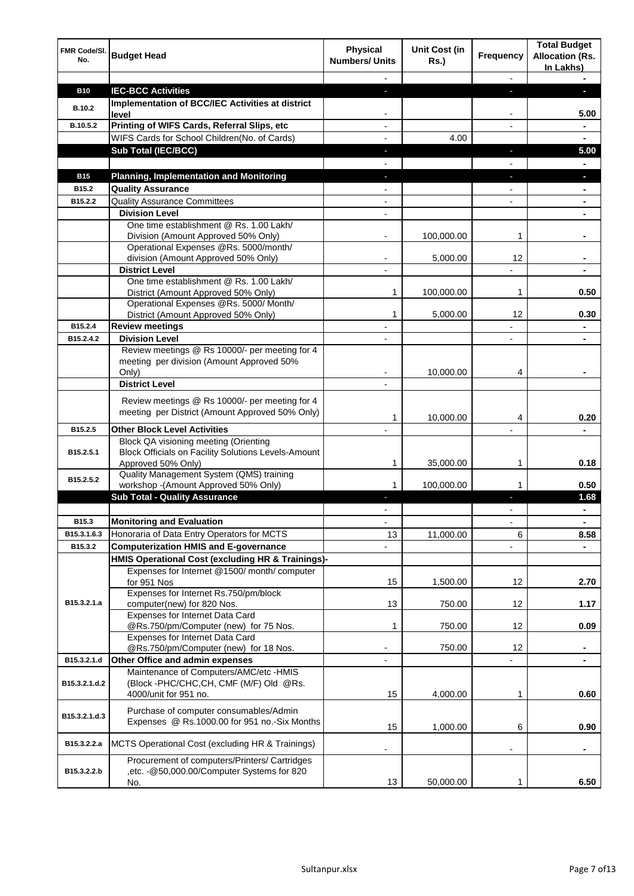| FMR Code/SI.<br>No. | <b>Budget Head</b>                                                                                                        | <b>Physical</b><br><b>Numbers/ Units</b> | <b>Unit Cost (in</b><br><b>Rs.)</b> | <b>Frequency</b> | <b>Total Budget</b><br><b>Allocation (Rs.</b><br>In Lakhs) |
|---------------------|---------------------------------------------------------------------------------------------------------------------------|------------------------------------------|-------------------------------------|------------------|------------------------------------------------------------|
|                     |                                                                                                                           |                                          |                                     |                  |                                                            |
| <b>B10</b>          | <b>IEC-BCC Activities</b>                                                                                                 | н                                        |                                     | н                | ı.                                                         |
| <b>B.10.2</b>       | <b>Implementation of BCC/IEC Activities at district</b><br>level                                                          |                                          |                                     |                  | 5.00                                                       |
| B.10.5.2            | Printing of WIFS Cards, Referral Slips, etc                                                                               |                                          |                                     | $\overline{a}$   | $\blacksquare$                                             |
|                     | WIFS Cards for School Children(No. of Cards)                                                                              |                                          | 4.00                                |                  | ٠                                                          |
|                     | Sub Total (IEC/BCC)                                                                                                       | ٠                                        |                                     | J,               | 5.00                                                       |
|                     |                                                                                                                           |                                          |                                     |                  |                                                            |
| <b>B15</b>          | <b>Planning, Implementation and Monitoring</b>                                                                            | ٠                                        |                                     | ٠                | ٠                                                          |
| B <sub>15.2</sub>   | <b>Quality Assurance</b>                                                                                                  |                                          |                                     |                  | ٠                                                          |
| B15.2.2             | <b>Quality Assurance Committees</b>                                                                                       | $\overline{\phantom{0}}$                 |                                     |                  | ۰                                                          |
|                     | <b>Division Level</b>                                                                                                     | $\overline{\phantom{0}}$                 |                                     |                  | ٠                                                          |
|                     | One time establishment @ Rs. 1.00 Lakh/                                                                                   |                                          | 100,000.00                          | 1                |                                                            |
|                     | Division (Amount Approved 50% Only)<br>Operational Expenses @Rs. 5000/month/                                              |                                          |                                     |                  |                                                            |
|                     | division (Amount Approved 50% Only)                                                                                       |                                          | 5,000.00                            | 12               | ۰                                                          |
|                     | <b>District Level</b>                                                                                                     |                                          |                                     |                  |                                                            |
|                     | One time establishment @ Rs. 1.00 Lakh/                                                                                   |                                          |                                     |                  |                                                            |
|                     | District (Amount Approved 50% Only)                                                                                       | 1                                        | 100,000.00                          | 1                | 0.50                                                       |
|                     | Operational Expenses @Rs. 5000/ Month/                                                                                    |                                          |                                     |                  |                                                            |
|                     | District (Amount Approved 50% Only)                                                                                       | 1                                        | 5,000.00                            | 12               | 0.30                                                       |
| B15.2.4             | <b>Review meetings</b>                                                                                                    |                                          |                                     |                  |                                                            |
| B15.2.4.2           | <b>Division Level</b><br>Review meetings @ Rs 10000/- per meeting for 4                                                   |                                          |                                     |                  |                                                            |
|                     | meeting per division (Amount Approved 50%                                                                                 |                                          |                                     |                  |                                                            |
|                     | Only)                                                                                                                     |                                          | 10,000.00                           | 4                |                                                            |
|                     | <b>District Level</b>                                                                                                     |                                          |                                     |                  |                                                            |
|                     |                                                                                                                           |                                          |                                     |                  |                                                            |
|                     | Review meetings @ Rs 10000/- per meeting for 4<br>meeting per District (Amount Approved 50% Only)                         | 1                                        | 10,000.00                           | 4                | 0.20                                                       |
| B15.2.5             | <b>Other Block Level Activities</b>                                                                                       |                                          |                                     |                  |                                                            |
| B15.2.5.1           | <b>Block QA visioning meeting (Orienting</b><br>Block Officials on Facility Solutions Levels-Amount<br>Approved 50% Only) | 1                                        | 35,000.00                           | 1                | 0.18                                                       |
| B15.2.5.2           | Quality Management System (QMS) training                                                                                  |                                          |                                     |                  |                                                            |
|                     | workshop -(Amount Approved 50% Only)                                                                                      |                                          | 100,000.00                          |                  | 0.50                                                       |
|                     | <b>Sub Total - Quality Assurance</b>                                                                                      |                                          |                                     |                  | 1.68                                                       |
|                     |                                                                                                                           |                                          |                                     |                  | $\blacksquare$                                             |
| B15.3               | <b>Monitoring and Evaluation</b>                                                                                          |                                          |                                     |                  | ۰                                                          |
| B15.3.1.6.3         | Honoraria of Data Entry Operators for MCTS                                                                                | 13                                       | 11,000.00                           | 6                | 8.58                                                       |
| B15.3.2             | <b>Computerization HMIS and E-governance</b>                                                                              |                                          |                                     |                  |                                                            |
|                     | HMIS Operational Cost (excluding HR & Trainings)-                                                                         |                                          |                                     |                  |                                                            |
|                     | Expenses for Internet @1500/month/computer<br>for 951 Nos                                                                 | 15                                       | 1,500.00                            | 12               | 2.70                                                       |
|                     | Expenses for Internet Rs.750/pm/block                                                                                     |                                          |                                     |                  |                                                            |
| B15.3.2.1.a         | computer(new) for 820 Nos.                                                                                                | 13                                       | 750.00                              | 12               | 1.17                                                       |
|                     | Expenses for Internet Data Card                                                                                           |                                          |                                     |                  |                                                            |
|                     | @Rs.750/pm/Computer (new) for 75 Nos.                                                                                     | 1                                        | 750.00                              | 12               | 0.09                                                       |
|                     | Expenses for Internet Data Card<br>@Rs.750/pm/Computer (new) for 18 Nos.                                                  | $\qquad \qquad \blacksquare$             | 750.00                              | 12               |                                                            |
| B15.3.2.1.d         | Other Office and admin expenses                                                                                           | -                                        |                                     |                  | ٠<br>$\blacksquare$                                        |
|                     | Maintenance of Computers/AMC/etc -HMIS                                                                                    |                                          |                                     |                  |                                                            |
| B15.3.2.1.d.2       | (Block -PHC/CHC,CH, CMF (M/F) Old @Rs.<br>4000/unit for 951 no.                                                           | 15                                       | 4,000.00                            | 1                | 0.60                                                       |
| B15.3.2.1.d.3       | Purchase of computer consumables/Admin<br>Expenses @ Rs.1000.00 for 951 no.-Six Months                                    | 15                                       | 1,000.00                            | 6                | 0.90                                                       |
| B15.3.2.2.a         | MCTS Operational Cost (excluding HR & Trainings)                                                                          |                                          |                                     |                  |                                                            |
| B15.3.2.2.b         | Procurement of computers/Printers/ Cartridges<br>,etc. - @50,000.00/Computer Systems for 820                              |                                          |                                     |                  |                                                            |
|                     | No.                                                                                                                       | 13                                       | 50,000.00                           | 1                | 6.50                                                       |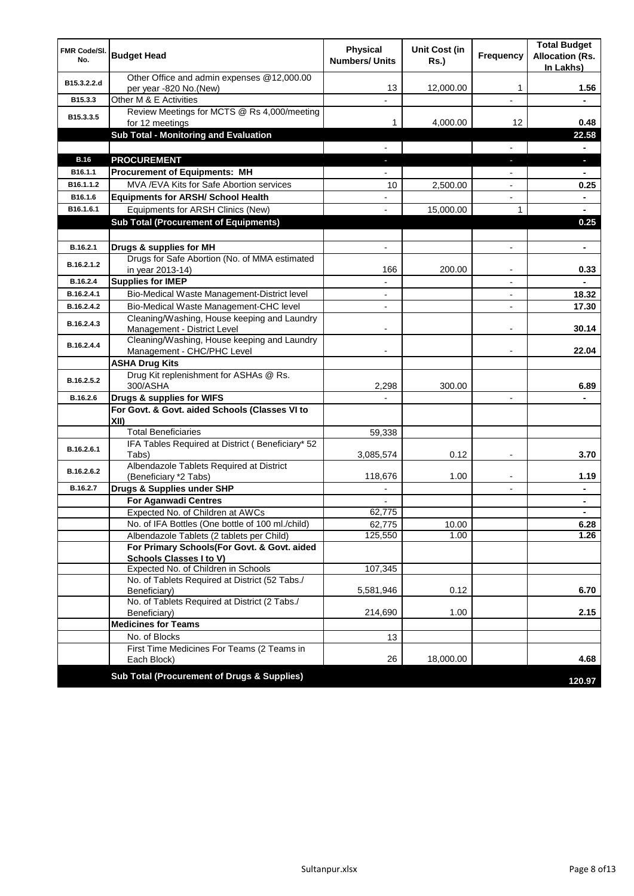| FMR Code/SI.<br>No. | <b>Budget Head</b>                                                                   | <b>Physical</b><br><b>Numbers/ Units</b> | <b>Unit Cost (in</b><br><b>Rs.)</b> | <b>Frequency</b>         | <b>Total Budget</b><br><b>Allocation (Rs.</b><br>In Lakhs) |
|---------------------|--------------------------------------------------------------------------------------|------------------------------------------|-------------------------------------|--------------------------|------------------------------------------------------------|
| B15.3.2.2.d         | Other Office and admin expenses @12,000.00<br>per year -820 No.(New)                 | 13                                       | 12,000.00                           | 1                        | 1.56                                                       |
| B15.3.3             | Other M & E Activities                                                               |                                          |                                     |                          |                                                            |
| B15.3.3.5           | Review Meetings for MCTS @ Rs 4,000/meeting<br>for 12 meetings                       | 1                                        | 4,000.00                            | 12                       | 0.48                                                       |
|                     | <b>Sub Total - Monitoring and Evaluation</b>                                         |                                          |                                     |                          | 22.58                                                      |
|                     |                                                                                      | $\overline{a}$                           |                                     | $\overline{a}$           | $\blacksquare$                                             |
| <b>B.16</b>         | <b>PROCUREMENT</b>                                                                   | $\overline{\phantom{a}}$                 |                                     | $\blacksquare$           | ٠                                                          |
| B16.1.1             | <b>Procurement of Equipments: MH</b>                                                 |                                          |                                     |                          |                                                            |
| B16.1.1.2           | MVA / EVA Kits for Safe Abortion services                                            | 10                                       | 2,500.00                            |                          | 0.25                                                       |
| B16.1.6             | <b>Equipments for ARSH/ School Health</b>                                            |                                          |                                     |                          |                                                            |
| B16.1.6.1           | Equipments for ARSH Clinics (New)                                                    |                                          | 15,000.00                           | $\mathbf{1}$             |                                                            |
|                     | <b>Sub Total (Procurement of Equipments)</b>                                         |                                          |                                     |                          | 0.25                                                       |
|                     |                                                                                      |                                          |                                     |                          |                                                            |
| B.16.2.1            | Drugs & supplies for MH                                                              |                                          |                                     |                          |                                                            |
| B.16.2.1.2          | Drugs for Safe Abortion (No. of MMA estimated<br>in year 2013-14)                    | 166                                      | 200.00                              |                          | 0.33                                                       |
| B.16.2.4            | <b>Supplies for IMEP</b>                                                             | $\blacksquare$                           |                                     | $\overline{a}$           |                                                            |
| B.16.2.4.1          | Bio-Medical Waste Management-District level                                          | $\overline{\phantom{a}}$                 |                                     | $\overline{\phantom{a}}$ | 18.32                                                      |
| B.16.2.4.2          | Bio-Medical Waste Management-CHC level                                               | $\overline{\phantom{a}}$                 |                                     | $\overline{\phantom{a}}$ | 17.30                                                      |
| B.16.2.4.3          | Cleaning/Washing, House keeping and Laundry<br>Management - District Level           |                                          |                                     |                          | 30.14                                                      |
| B.16.2.4.4          | Cleaning/Washing, House keeping and Laundry<br>Management - CHC/PHC Level            |                                          |                                     |                          | 22.04                                                      |
|                     | <b>ASHA Drug Kits</b>                                                                |                                          |                                     |                          |                                                            |
| B.16.2.5.2          | Drug Kit replenishment for ASHAs @ Rs.<br>300/ASHA                                   | 2,298                                    | 300.00                              |                          | 6.89                                                       |
| B.16.2.6            | Drugs & supplies for WIFS                                                            |                                          |                                     |                          |                                                            |
|                     | For Govt. & Govt. aided Schools (Classes VI to<br>XII)                               |                                          |                                     |                          |                                                            |
|                     | <b>Total Beneficiaries</b>                                                           | 59,338                                   |                                     |                          |                                                            |
| B.16.2.6.1          | IFA Tables Required at District (Beneficiary* 52<br>Tabs)                            | 3,085,574                                | 0.12                                | $\overline{\phantom{a}}$ | 3.70                                                       |
| B.16.2.6.2          | Albendazole Tablets Required at District                                             |                                          |                                     |                          |                                                            |
|                     | (Beneficiary *2 Tabs)                                                                | 118,676                                  | 1.00                                |                          | 1.19                                                       |
| B.16.2.7            | Drugs & Supplies under SHP                                                           |                                          |                                     |                          |                                                            |
|                     | <b>For Aganwadi Centres</b>                                                          |                                          |                                     |                          |                                                            |
|                     | Expected No. of Children at AWCs<br>No. of IFA Bottles (One bottle of 100 ml./child) | 62,775                                   | 10.00                               |                          | 6.28                                                       |
|                     | Albendazole Tablets (2 tablets per Child)                                            | 62,775<br>125,550                        | 1.00                                |                          | 1.26                                                       |
|                     | For Primary Schools(For Govt. & Govt. aided                                          |                                          |                                     |                          |                                                            |
|                     | <b>Schools Classes I to V)</b>                                                       |                                          |                                     |                          |                                                            |
|                     | Expected No. of Children in Schools                                                  | 107,345                                  |                                     |                          |                                                            |
|                     | No. of Tablets Required at District (52 Tabs./<br>Beneficiary)                       | 5,581,946                                | 0.12                                |                          | 6.70                                                       |
|                     | No. of Tablets Required at District (2 Tabs./<br>Beneficiary)                        | 214,690                                  | 1.00                                |                          | 2.15                                                       |
|                     | <b>Medicines for Teams</b>                                                           |                                          |                                     |                          |                                                            |
|                     | No. of Blocks                                                                        | 13                                       |                                     |                          |                                                            |
|                     | First Time Medicines For Teams (2 Teams in<br>Each Block)                            | 26                                       | 18,000.00                           |                          | 4.68                                                       |
|                     | <b>Sub Total (Procurement of Drugs &amp; Supplies)</b>                               |                                          |                                     |                          |                                                            |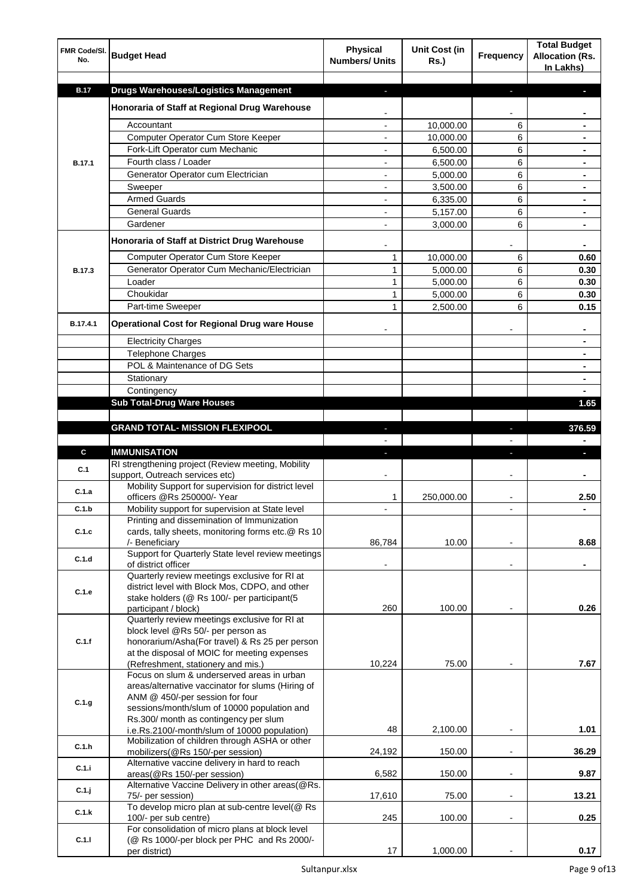| FMR Code/SI.<br>No. | <b>Budget Head</b>                                                                              | <b>Physical</b><br><b>Numbers/ Units</b> | <b>Unit Cost (in</b><br><b>Rs.)</b> | Frequency                | <b>Total Budget</b><br><b>Allocation (Rs.</b><br>In Lakhs) |
|---------------------|-------------------------------------------------------------------------------------------------|------------------------------------------|-------------------------------------|--------------------------|------------------------------------------------------------|
| <b>B.17</b>         | <b>Drugs Warehouses/Logistics Management</b>                                                    |                                          |                                     |                          |                                                            |
|                     |                                                                                                 | J,                                       |                                     | L                        |                                                            |
|                     | Honoraria of Staff at Regional Drug Warehouse                                                   |                                          |                                     |                          |                                                            |
|                     | Accountant                                                                                      |                                          | 10,000.00                           | 6                        |                                                            |
|                     | Computer Operator Cum Store Keeper                                                              | $\blacksquare$                           | 10,000.00                           | 6                        | ۰                                                          |
|                     | Fork-Lift Operator cum Mechanic                                                                 | $\overline{\phantom{0}}$                 | 6,500.00                            | 6                        | ۰                                                          |
| B.17.1              | Fourth class / Loader                                                                           | $\blacksquare$                           | 6,500.00                            | 6                        | ۰                                                          |
|                     | Generator Operator cum Electrician                                                              | $\blacksquare$                           | 5,000.00                            | 6                        | ۰                                                          |
|                     | Sweeper                                                                                         |                                          | 3,500.00                            | 6                        |                                                            |
|                     | <b>Armed Guards</b>                                                                             | $\overline{a}$                           | 6,335.00                            | 6                        |                                                            |
|                     | <b>General Guards</b>                                                                           |                                          | 5,157.00                            | 6                        |                                                            |
|                     | Gardener                                                                                        |                                          | 3,000.00                            | 6                        |                                                            |
|                     | Honoraria of Staff at District Drug Warehouse                                                   |                                          |                                     |                          |                                                            |
|                     | Computer Operator Cum Store Keeper                                                              | $\mathbf{1}$                             | 10,000.00                           | 6                        | 0.60                                                       |
| B.17.3              | Generator Operator Cum Mechanic/Electrician                                                     | $\mathbf{1}$                             | 5,000.00                            | 6                        | 0.30                                                       |
|                     | Loader                                                                                          | $\mathbf{1}$                             | 5.000.00                            | 6                        | 0.30                                                       |
|                     | Choukidar                                                                                       | $\mathbf{1}$                             | 5,000.00                            | 6                        | 0.30                                                       |
|                     | Part-time Sweeper                                                                               | $\mathbf{1}$                             | 2,500.00                            | 6                        | 0.15                                                       |
| B.17.4.1            | <b>Operational Cost for Regional Drug ware House</b>                                            |                                          |                                     |                          |                                                            |
|                     | <b>Electricity Charges</b>                                                                      |                                          |                                     |                          | ۰                                                          |
|                     | Telephone Charges                                                                               |                                          |                                     |                          | ۰                                                          |
|                     | POL & Maintenance of DG Sets                                                                    |                                          |                                     |                          | ٠                                                          |
|                     | Stationary                                                                                      |                                          |                                     |                          | ۰                                                          |
|                     | Contingency                                                                                     |                                          |                                     |                          |                                                            |
|                     | <b>Sub Total-Drug Ware Houses</b>                                                               |                                          |                                     |                          | 1.65                                                       |
|                     |                                                                                                 |                                          |                                     |                          |                                                            |
|                     | <b>GRAND TOTAL- MISSION FLEXIPOOL</b>                                                           |                                          |                                     |                          | 376.59                                                     |
|                     |                                                                                                 |                                          |                                     |                          |                                                            |
| C                   | <b>IMMUNISATION</b>                                                                             |                                          |                                     |                          |                                                            |
| C.1                 | RI strengthening project (Review meeting, Mobility<br>support, Outreach services etc)           |                                          |                                     | -                        | ۰                                                          |
| C.1.a               | Mobility Support for supervision for district level<br>officers @Rs 250000/- Year               | 1                                        | 250,000.00                          |                          | 2.50                                                       |
| C.1.b               | Mobility support for supervision at State level                                                 |                                          |                                     |                          |                                                            |
| C.1.c               | Printing and dissemination of Immunization<br>cards, tally sheets, monitoring forms etc.@ Rs 10 |                                          |                                     |                          |                                                            |
|                     | /- Beneficiary<br>Support for Quarterly State level review meetings                             | 86,784                                   | 10.00                               | $\overline{\phantom{a}}$ | 8.68                                                       |
| C.1.d               | of district officer                                                                             | $\overline{\phantom{a}}$                 |                                     | $\blacksquare$           | ٠                                                          |
| C.1.e               | Quarterly review meetings exclusive for RI at<br>district level with Block Mos, CDPO, and other |                                          |                                     |                          |                                                            |
|                     | stake holders (@ Rs 100/- per participant(5                                                     |                                          |                                     |                          |                                                            |
|                     | participant / block)                                                                            | 260                                      | 100.00                              |                          | 0.26                                                       |
|                     | Quarterly review meetings exclusive for RI at<br>block level @Rs 50/- per person as             |                                          |                                     |                          |                                                            |
| C.1.f               | honorarium/Asha(For travel) & Rs 25 per person                                                  |                                          |                                     |                          |                                                            |
|                     | at the disposal of MOIC for meeting expenses                                                    |                                          |                                     |                          |                                                            |
|                     | (Refreshment, stationery and mis.)                                                              | 10,224                                   | 75.00                               |                          | 7.67                                                       |
|                     | Focus on slum & underserved areas in urban                                                      |                                          |                                     |                          |                                                            |
|                     | areas/alternative vaccinator for slums (Hiring of                                               |                                          |                                     |                          |                                                            |
| C.1.g               | ANM @ 450/-per session for four<br>sessions/month/slum of 10000 population and                  |                                          |                                     |                          |                                                            |
|                     | Rs.300/ month as contingency per slum                                                           |                                          |                                     |                          |                                                            |
|                     | i.e.Rs.2100/-month/slum of 10000 population)                                                    | 48                                       | 2,100.00                            | $\overline{\phantom{a}}$ | 1.01                                                       |
| C.1.h               | Mobilization of children through ASHA or other<br>mobilizers(@Rs 150/-per session)              | 24,192                                   | 150.00                              | $\overline{\phantom{a}}$ | 36.29                                                      |
| C.1.i               | Alternative vaccine delivery in hard to reach<br>areas(@Rs 150/-per session)                    | 6,582                                    | 150.00                              | $\overline{\phantom{a}}$ | 9.87                                                       |
|                     | Alternative Vaccine Delivery in other areas(@Rs.                                                |                                          |                                     |                          |                                                            |
| C.1.j               | 75/- per session)                                                                               | 17,610                                   | 75.00                               | $\overline{\phantom{a}}$ | 13.21                                                      |
| C.1.k               | To develop micro plan at sub-centre level(@ Rs                                                  | 245                                      | 100.00                              | $\overline{\phantom{a}}$ | 0.25                                                       |
|                     | 100/- per sub centre)<br>For consolidation of micro plans at block level                        |                                          |                                     |                          |                                                            |
| C.1.1               | (@ Rs 1000/-per block per PHC and Rs 2000/-<br>per district)                                    | 17                                       | 1,000.00                            |                          | 0.17                                                       |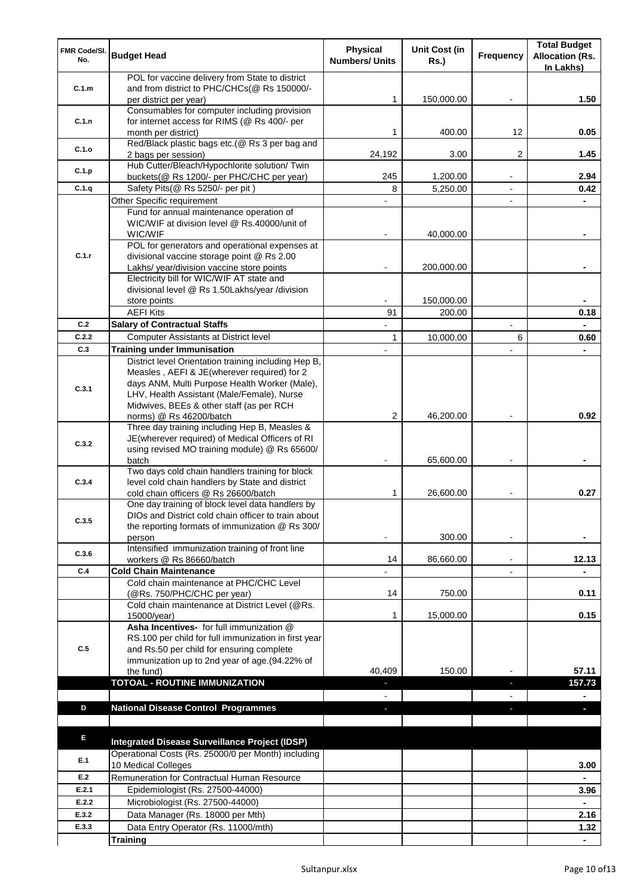| FMR Code/SI.<br>No. | <b>Budget Head</b>                                                                     | Physical<br><b>Numbers/ Units</b> | Unit Cost (in<br><b>Rs.)</b> | Frequency                | <b>Total Budget</b><br><b>Allocation (Rs.</b><br>In Lakhs) |
|---------------------|----------------------------------------------------------------------------------------|-----------------------------------|------------------------------|--------------------------|------------------------------------------------------------|
|                     | POL for vaccine delivery from State to district                                        |                                   |                              |                          |                                                            |
| C.1.m               | and from district to PHC/CHCs(@ Rs 150000/-                                            |                                   |                              |                          |                                                            |
|                     | per district per year)<br>Consumables for computer including provision                 | $\mathbf{1}$                      | 150,000.00                   |                          | 1.50                                                       |
| C.1.n               | for internet access for RIMS (@ Rs 400/- per                                           |                                   |                              |                          |                                                            |
|                     | month per district)                                                                    | 1                                 | 400.00                       | 12                       | 0.05                                                       |
| C.1.o               | Red/Black plastic bags etc.(@ Rs 3 per bag and                                         |                                   |                              |                          |                                                            |
|                     | 2 bags per session)                                                                    | 24,192                            | 3.00                         | 2                        | 1.45                                                       |
| C.1.p               | Hub Cutter/Bleach/Hypochlorite solution/ Twin                                          |                                   |                              |                          |                                                            |
| C.1.q               | buckets(@ Rs 1200/- per PHC/CHC per year)<br>Safety Pits(@ Rs 5250/- per pit)          | 245<br>8                          | 1,200.00<br>5,250.00         | $\blacksquare$           | 2.94<br>0.42                                               |
|                     | Other Specific requirement                                                             |                                   |                              |                          | $\blacksquare$                                             |
|                     | Fund for annual maintenance operation of                                               |                                   |                              |                          |                                                            |
|                     | WIC/WIF at division level @ Rs.40000/unit of                                           |                                   |                              |                          |                                                            |
|                     | WIC/WIF                                                                                |                                   | 40,000.00                    |                          |                                                            |
|                     | POL for generators and operational expenses at                                         |                                   |                              |                          |                                                            |
| C.1.r               | divisional vaccine storage point @ Rs 2.00                                             |                                   |                              |                          |                                                            |
|                     | Lakhs/ year/division vaccine store points<br>Electricity bill for WIC/WIF AT state and |                                   | 200,000.00                   |                          |                                                            |
|                     | divisional level @ Rs 1.50Lakhs/year /division                                         |                                   |                              |                          |                                                            |
|                     | store points                                                                           |                                   | 150,000.00                   |                          |                                                            |
|                     | <b>AEFI Kits</b>                                                                       | 91                                | 200.00                       |                          | 0.18                                                       |
| C.2                 | <b>Salary of Contractual Staffs</b>                                                    |                                   |                              |                          |                                                            |
| C.2.2               | <b>Computer Assistants at District level</b>                                           | 1                                 | 10,000.00                    | 6                        | 0.60                                                       |
| C.3                 | <b>Training under Immunisation</b>                                                     |                                   |                              |                          |                                                            |
|                     | District level Orientation training including Hep B,                                   |                                   |                              |                          |                                                            |
|                     | Measles, AEFI & JE(wherever required) for 2                                            |                                   |                              |                          |                                                            |
| C.3.1               | days ANM, Multi Purpose Health Worker (Male),                                          |                                   |                              |                          |                                                            |
|                     | LHV, Health Assistant (Male/Female), Nurse<br>Midwives, BEEs & other staff (as per RCH |                                   |                              |                          |                                                            |
|                     | norms) @ Rs 46200/batch                                                                | 2                                 | 46,200.00                    |                          | 0.92                                                       |
|                     | Three day training including Hep B, Measles &                                          |                                   |                              |                          |                                                            |
| C.3.2               | JE(wherever required) of Medical Officers of RI                                        |                                   |                              |                          |                                                            |
|                     | using revised MO training module) @ Rs 65600/                                          |                                   |                              |                          |                                                            |
|                     | batch<br>Two days cold chain handlers training for block                               |                                   | 65,600.00                    |                          |                                                            |
| C.3.4               | level cold chain handlers by State and district                                        |                                   |                              |                          |                                                            |
|                     | cold chain officers @ Rs 26600/batch                                                   | 1                                 | 26,600.00                    | $\overline{\phantom{a}}$ | 0.27                                                       |
|                     | One day training of block level data handlers by                                       |                                   |                              |                          |                                                            |
| C.3.5               | DIOs and District cold chain officer to train about                                    |                                   |                              |                          |                                                            |
|                     | the reporting formats of immunization @ Rs 300/                                        |                                   |                              |                          |                                                            |
|                     | person<br>Intensified immunization training of front line                              |                                   | 300.00                       | $\overline{\phantom{a}}$ | ۰                                                          |
| C.3.6               | workers @ Rs 86660/batch                                                               | 14                                | 86,660.00                    |                          | 12.13                                                      |
| C.4                 | <b>Cold Chain Maintenance</b>                                                          |                                   |                              |                          |                                                            |
|                     | Cold chain maintenance at PHC/CHC Level                                                |                                   |                              |                          |                                                            |
|                     | (@Rs. 750/PHC/CHC per year)                                                            | 14                                | 750.00                       |                          | 0.11                                                       |
|                     | Cold chain maintenance at District Level (@Rs.                                         |                                   |                              |                          |                                                            |
|                     | 15000/year)<br>Asha Incentives- for full immunization @                                | 1                                 | 15,000.00                    |                          | 0.15                                                       |
|                     | RS.100 per child for full immunization in first year                                   |                                   |                              |                          |                                                            |
| C.5                 | and Rs.50 per child for ensuring complete                                              |                                   |                              |                          |                                                            |
|                     | immunization up to 2nd year of age.(94.22% of                                          |                                   |                              |                          |                                                            |
|                     | the fund)                                                                              | 40,409                            | 150.00                       |                          | 57.11                                                      |
|                     | <b>TOTOAL - ROUTINE IMMUNIZATION</b>                                                   |                                   |                              |                          | 157.73                                                     |
|                     |                                                                                        |                                   |                              |                          | $\blacksquare$                                             |
| D                   | <b>National Disease Control Programmes</b>                                             |                                   |                              |                          |                                                            |
|                     |                                                                                        |                                   |                              |                          |                                                            |
| Е                   | Integrated Disease Surveillance Project (IDSP)                                         |                                   |                              |                          |                                                            |
|                     | Operational Costs (Rs. 25000/0 per Month) including                                    |                                   |                              |                          |                                                            |
| E.1                 | 10 Medical Colleges                                                                    |                                   |                              |                          | 3.00                                                       |
| E.2                 | Remuneration for Contractual Human Resource                                            |                                   |                              |                          |                                                            |
| E.2.1               | Epidemiologist (Rs. 27500-44000)                                                       |                                   |                              |                          | 3.96                                                       |
| E.2.2               | Microbiologist (Rs. 27500-44000)                                                       |                                   |                              |                          |                                                            |
| E.3.2               | Data Manager (Rs. 18000 per Mth)                                                       |                                   |                              |                          | 2.16                                                       |
| E.3.3               | Data Entry Operator (Rs. 11000/mth)                                                    |                                   |                              |                          | 1.32                                                       |
|                     | <b>Training</b>                                                                        |                                   |                              |                          |                                                            |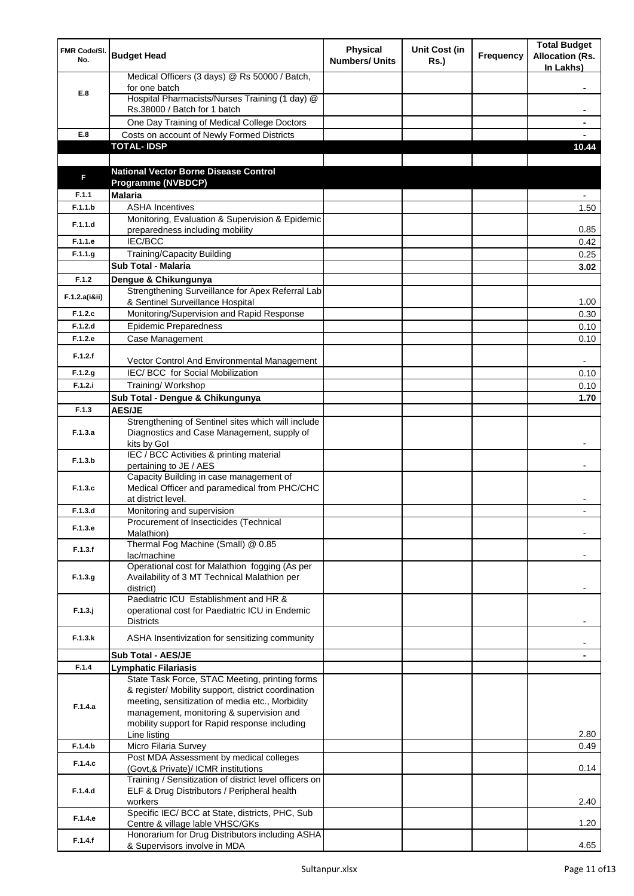| FMR Code/SI.<br>No. | <b>Budget Head</b>                                                                                    | <b>Physical</b><br><b>Numbers/ Units</b> | Unit Cost (in<br>Rs.) | <b>Frequency</b> | <b>Total Budget</b><br><b>Allocation (Rs.</b><br>In Lakhs) |
|---------------------|-------------------------------------------------------------------------------------------------------|------------------------------------------|-----------------------|------------------|------------------------------------------------------------|
|                     | Medical Officers (3 days) @ Rs 50000 / Batch,                                                         |                                          |                       |                  |                                                            |
| E.8                 | for one batch                                                                                         |                                          |                       |                  |                                                            |
|                     | Hospital Pharmacists/Nurses Training (1 day) @<br>Rs.38000 / Batch for 1 batch                        |                                          |                       |                  |                                                            |
|                     | One Day Training of Medical College Doctors                                                           |                                          |                       |                  |                                                            |
| E.8                 | Costs on account of Newly Formed Districts                                                            |                                          |                       |                  |                                                            |
|                     | <b>TOTAL-IDSP</b>                                                                                     |                                          |                       |                  | 10.44                                                      |
|                     |                                                                                                       |                                          |                       |                  |                                                            |
| F                   | <b>National Vector Borne Disease Control</b>                                                          |                                          |                       |                  |                                                            |
|                     | <b>Programme (NVBDCP)</b>                                                                             |                                          |                       |                  |                                                            |
| F.1.1<br>F.1.1.b    | <b>Malaria</b><br><b>ASHA Incentives</b>                                                              |                                          |                       |                  | 1.50                                                       |
|                     | Monitoring, Evaluation & Supervision & Epidemic                                                       |                                          |                       |                  |                                                            |
| F.1.1.d             | preparedness including mobility                                                                       |                                          |                       |                  | 0.85                                                       |
| F.1.1.e             | <b>IEC/BCC</b>                                                                                        |                                          |                       |                  | 0.42                                                       |
| F.1.1.g             | <b>Training/Capacity Building</b>                                                                     |                                          |                       |                  | 0.25                                                       |
|                     | <b>Sub Total - Malaria</b>                                                                            |                                          |                       |                  | 3.02                                                       |
| F.1.2               | Dengue & Chikungunya<br>Strengthening Surveillance for Apex Referral Lab                              |                                          |                       |                  |                                                            |
| F.1.2.a(iⅈ)         | & Sentinel Surveillance Hospital                                                                      |                                          |                       |                  | 1.00                                                       |
| F.1.2.c             | Monitoring/Supervision and Rapid Response                                                             |                                          |                       |                  | 0.30                                                       |
| F.1.2.d             | <b>Epidemic Preparedness</b>                                                                          |                                          |                       |                  | 0.10                                                       |
| F.1.2.e             | Case Management                                                                                       |                                          |                       |                  | 0.10                                                       |
| F.1.2.f             |                                                                                                       |                                          |                       |                  |                                                            |
| F.1.2.g             | Vector Control And Environmental Management<br>IEC/BCC for Social Mobilization                        |                                          |                       |                  |                                                            |
| F.1.2.i             | Training/Workshop                                                                                     |                                          |                       |                  | 0.10<br>0.10                                               |
|                     | Sub Total - Dengue & Chikungunya                                                                      |                                          |                       |                  | 1.70                                                       |
| F.1.3               | <b>AES/JE</b>                                                                                         |                                          |                       |                  |                                                            |
|                     | Strengthening of Sentinel sites which will include                                                    |                                          |                       |                  |                                                            |
| F.1.3.a             | Diagnostics and Case Management, supply of                                                            |                                          |                       |                  |                                                            |
|                     | kits by Gol<br>IEC / BCC Activities & printing material                                               |                                          |                       |                  |                                                            |
| F.1.3.b             | pertaining to JE / AES                                                                                |                                          |                       |                  |                                                            |
|                     | Capacity Building in case management of                                                               |                                          |                       |                  |                                                            |
| F.1.3.c             | Medical Officer and paramedical from PHC/CHC                                                          |                                          |                       |                  |                                                            |
| F.1.3.d             | at district level.<br>Monitoring and supervision                                                      |                                          |                       |                  |                                                            |
|                     | Procurement of Insecticides (Technical                                                                |                                          |                       |                  |                                                            |
| F.1.3.e             | Malathion)                                                                                            |                                          |                       |                  |                                                            |
| F.1.3.f             | Thermal Fog Machine (Small) @ 0.85                                                                    |                                          |                       |                  |                                                            |
|                     | lac/machine<br>Operational cost for Malathion fogging (As per                                         |                                          |                       |                  |                                                            |
| F.1.3.g             | Availability of 3 MT Technical Malathion per                                                          |                                          |                       |                  |                                                            |
|                     | district)                                                                                             |                                          |                       |                  |                                                            |
| F.1.3.j             | Paediatric ICU Establishment and HR &<br>operational cost for Paediatric ICU in Endemic               |                                          |                       |                  |                                                            |
|                     | <b>Districts</b>                                                                                      |                                          |                       |                  |                                                            |
| F.1.3.k             |                                                                                                       |                                          |                       |                  |                                                            |
|                     | ASHA Insentivization for sensitizing community                                                        |                                          |                       |                  |                                                            |
|                     | Sub Total - AES/JE                                                                                    |                                          |                       |                  |                                                            |
| F.1.4               | Lymphatic Filariasis<br>State Task Force, STAC Meeting, printing forms                                |                                          |                       |                  |                                                            |
|                     | & register/ Mobility support, district coordination                                                   |                                          |                       |                  |                                                            |
| F.1.4.a             | meeting, sensitization of media etc., Morbidity                                                       |                                          |                       |                  |                                                            |
|                     | management, monitoring & supervision and                                                              |                                          |                       |                  |                                                            |
|                     | mobility support for Rapid response including<br>Line listing                                         |                                          |                       |                  | 2.80                                                       |
| F.1.4.b             | Micro Filaria Survey                                                                                  |                                          |                       |                  | 0.49                                                       |
|                     | Post MDA Assessment by medical colleges                                                               |                                          |                       |                  |                                                            |
| F.1.4.c             | (Govt, & Private)/ ICMR institutions                                                                  |                                          |                       |                  | 0.14                                                       |
| F.1.4.d             | Training / Sensitization of district level officers on<br>ELF & Drug Distributors / Peripheral health |                                          |                       |                  |                                                            |
|                     | workers                                                                                               |                                          |                       |                  | 2.40                                                       |
| F.1.4.e             | Specific IEC/ BCC at State, districts, PHC, Sub                                                       |                                          |                       |                  |                                                            |
|                     | Centre & village lable VHSC/GKs                                                                       |                                          |                       |                  | 1.20                                                       |
| F.1.4.f             | Honorarium for Drug Distributors including ASHA<br>& Supervisors involve in MDA                       |                                          |                       |                  | 4.65                                                       |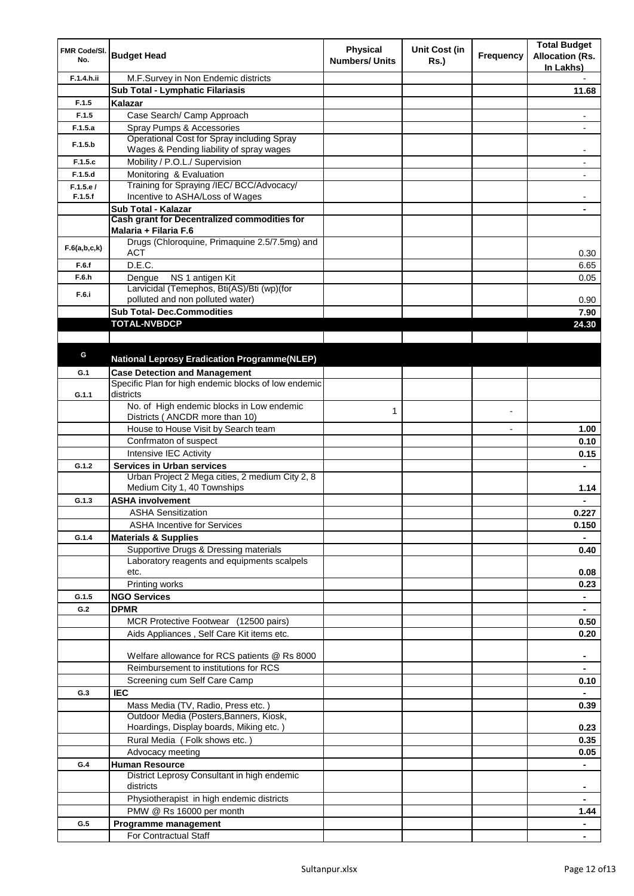| FMR Code/SI.<br>No. | <b>Budget Head</b>                                                | <b>Physical</b><br><b>Numbers/ Units</b> | <b>Unit Cost (in</b><br>Rs.) | Frequency | <b>Total Budget</b><br><b>Allocation (Rs.</b><br>In Lakhs) |
|---------------------|-------------------------------------------------------------------|------------------------------------------|------------------------------|-----------|------------------------------------------------------------|
| F.1.4.h.ii          | M.F.Survey in Non Endemic districts                               |                                          |                              |           |                                                            |
|                     | Sub Total - Lymphatic Filariasis                                  |                                          |                              |           | 11.68                                                      |
| F.1.5               | Kalazar                                                           |                                          |                              |           |                                                            |
| F.1.5               | Case Search/ Camp Approach                                        |                                          |                              |           | $\overline{\phantom{a}}$                                   |
| F.1.5.a             | Spray Pumps & Accessories                                         |                                          |                              |           |                                                            |
|                     | Operational Cost for Spray including Spray                        |                                          |                              |           |                                                            |
| F.1.5.b             | Wages & Pending liability of spray wages                          |                                          |                              |           |                                                            |
| F.1.5.c             | Mobility / P.O.L./ Supervision                                    |                                          |                              |           | $\blacksquare$                                             |
| F.1.5.d             | Monitoring & Evaluation                                           |                                          |                              |           |                                                            |
| F.1.5.e/            | Training for Spraying /IEC/ BCC/Advocacy/                         |                                          |                              |           |                                                            |
| F.1.5.f             | Incentive to ASHA/Loss of Wages                                   |                                          |                              |           |                                                            |
|                     | Sub Total - Kalazar                                               |                                          |                              |           |                                                            |
|                     | Cash grant for Decentralized commodities for                      |                                          |                              |           |                                                            |
|                     | Malaria + Filaria F.6                                             |                                          |                              |           |                                                            |
| F.6(a,b,c,k)        | Drugs (Chloroquine, Primaquine 2.5/7.5mg) and                     |                                          |                              |           |                                                            |
|                     | ACT                                                               |                                          |                              |           | 0.30                                                       |
| F.6.f               | D.E.C.                                                            |                                          |                              |           | 6.65                                                       |
| F.6.h               | NS 1 antigen Kit<br>Dengue                                        |                                          |                              |           | 0.05                                                       |
| F.6.i               | Larvicidal (Temephos, Bti(AS)/Bti (wp)(for                        |                                          |                              |           |                                                            |
|                     | polluted and non polluted water)                                  |                                          |                              |           | 0.90                                                       |
|                     | <b>Sub Total- Dec.Commodities</b>                                 |                                          |                              |           | 7.90                                                       |
|                     | <b>TOTAL-NVBDCP</b>                                               |                                          |                              |           | 24.30                                                      |
|                     |                                                                   |                                          |                              |           |                                                            |
| G                   |                                                                   |                                          |                              |           |                                                            |
|                     | <b>National Leprosy Eradication Programme(NLEP)</b>               |                                          |                              |           |                                                            |
| G.1                 | <b>Case Detection and Management</b>                              |                                          |                              |           |                                                            |
|                     | Specific Plan for high endemic blocks of low endemic<br>districts |                                          |                              |           |                                                            |
| G.1.1               | No. of High endemic blocks in Low endemic                         |                                          |                              |           |                                                            |
|                     | Districts (ANCDR more than 10)                                    | 1                                        |                              |           |                                                            |
|                     | House to House Visit by Search team                               |                                          |                              |           | 1.00                                                       |
|                     | Confrmaton of suspect                                             |                                          |                              |           | 0.10                                                       |
|                     | Intensive IEC Activity                                            |                                          |                              |           | 0.15                                                       |
|                     | <b>Services in Urban services</b>                                 |                                          |                              |           |                                                            |
| G.1.2               | Urban Project 2 Mega cities, 2 medium City 2, 8                   |                                          |                              |           |                                                            |
|                     | Medium City 1, 40 Townships                                       |                                          |                              |           | 1.14                                                       |
| G.1.3               | <b>ASHA involvement</b>                                           |                                          |                              |           | $\blacksquare$                                             |
|                     | ASHA Sensitization                                                |                                          |                              |           | 0.227                                                      |
|                     | <b>ASHA Incentive for Services</b>                                |                                          |                              |           | 0.150                                                      |
| G.1.4               | <b>Materials &amp; Supplies</b>                                   |                                          |                              |           |                                                            |
|                     | Supportive Drugs & Dressing materials                             |                                          |                              |           |                                                            |
|                     | Laboratory reagents and equipments scalpels                       |                                          |                              |           | 0.40                                                       |
|                     | etc.                                                              |                                          |                              |           | 0.08                                                       |
|                     | Printing works                                                    |                                          |                              |           | 0.23                                                       |
| G.1.5               | <b>NGO Services</b>                                               |                                          |                              |           | $\blacksquare$                                             |
| G.2                 | <b>DPMR</b>                                                       |                                          |                              |           | $\blacksquare$                                             |
|                     | MCR Protective Footwear (12500 pairs)                             |                                          |                              |           | 0.50                                                       |
|                     | Aids Appliances, Self Care Kit items etc.                         |                                          |                              |           | 0.20                                                       |
|                     |                                                                   |                                          |                              |           |                                                            |
|                     | Welfare allowance for RCS patients @ Rs 8000                      |                                          |                              |           |                                                            |
|                     | Reimbursement to institutions for RCS                             |                                          |                              |           |                                                            |
|                     | Screening cum Self Care Camp                                      |                                          |                              |           | 0.10                                                       |
| G.3                 | <b>IEC</b>                                                        |                                          |                              |           |                                                            |
|                     | Mass Media (TV, Radio, Press etc.)                                |                                          |                              |           | 0.39                                                       |
|                     | Outdoor Media (Posters, Banners, Kiosk,                           |                                          |                              |           |                                                            |
|                     | Hoardings, Display boards, Miking etc.)                           |                                          |                              |           | 0.23                                                       |
|                     | Rural Media (Folk shows etc.)                                     |                                          |                              |           | 0.35                                                       |
|                     | Advocacy meeting                                                  |                                          |                              |           | 0.05                                                       |
| G.4                 | <b>Human Resource</b>                                             |                                          |                              |           |                                                            |
|                     | District Leprosy Consultant in high endemic                       |                                          |                              |           |                                                            |
|                     | districts                                                         |                                          |                              |           | ٠                                                          |
|                     | Physiotherapist in high endemic districts                         |                                          |                              |           | ۰                                                          |
|                     | PMW @ Rs 16000 per month                                          |                                          |                              |           | 1.44                                                       |
| G.5                 |                                                                   |                                          |                              |           |                                                            |
|                     | Programme management                                              |                                          |                              |           | $\blacksquare$                                             |